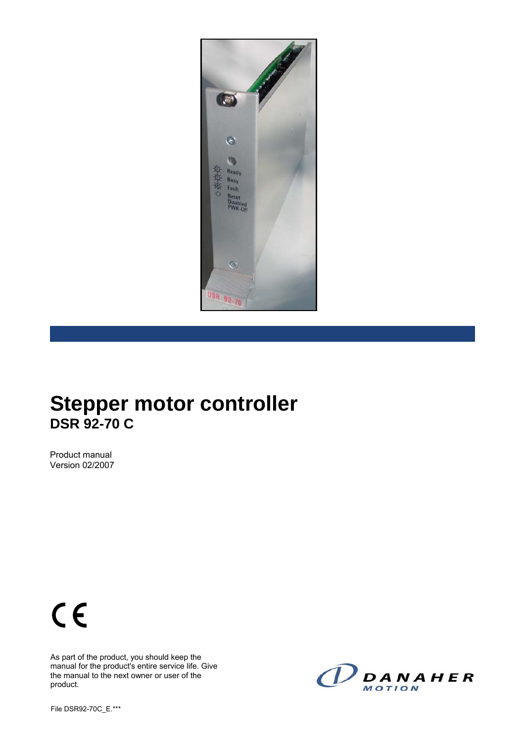

# **Stepper motor controller DSR 92-70 C**

Product manual Version 02/2007

# $C<sub>f</sub>$

As part of the product, you should keep the manual for the product's entire service life. Give the manual to the next owner or user of the product.



File DSR92-70C\_E.\*\*\*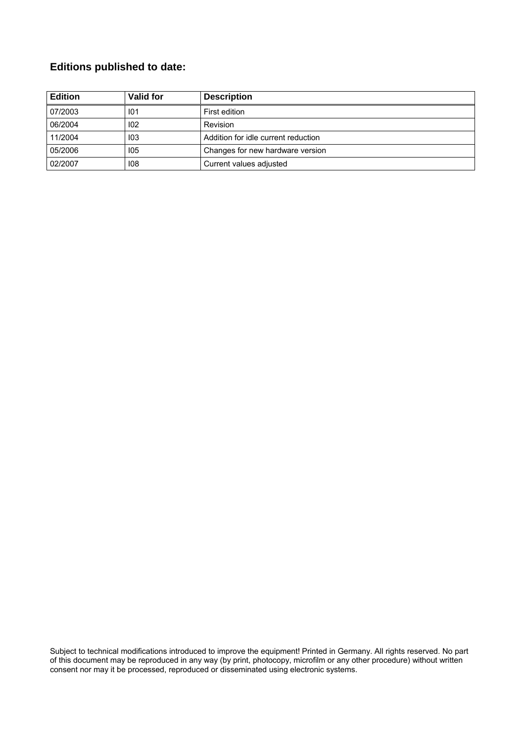### **Editions published to date:**

| <b>Edition</b> | Valid for | <b>Description</b>                  |
|----------------|-----------|-------------------------------------|
| 07/2003        | 101       | First edition                       |
| 06/2004        | 102       | Revision                            |
| 11/2004        | 103       | Addition for idle current reduction |
| 05/2006        | 105       | Changes for new hardware version    |
| 02/2007        | 108       | Current values adjusted             |

Subject to technical modifications introduced to improve the equipment! Printed in Germany. All rights reserved. No part of this document may be reproduced in any way (by print, photocopy, microfilm or any other procedure) without written consent nor may it be processed, reproduced or disseminated using electronic systems.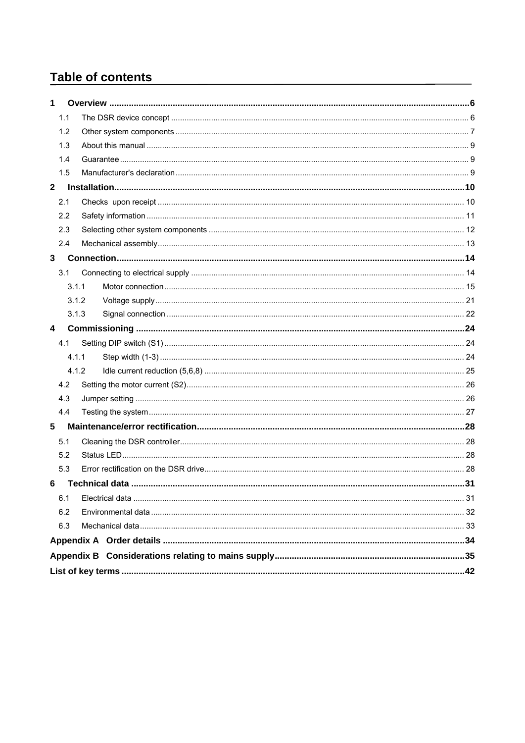# **Table of contents**

| 1                       |       |  |  |  |  |  |  |
|-------------------------|-------|--|--|--|--|--|--|
|                         | 1.1   |  |  |  |  |  |  |
|                         | 1.2   |  |  |  |  |  |  |
|                         | 1.3   |  |  |  |  |  |  |
|                         | 1.4   |  |  |  |  |  |  |
|                         | 1.5   |  |  |  |  |  |  |
| $\mathbf{2}$            |       |  |  |  |  |  |  |
|                         | 2.1   |  |  |  |  |  |  |
|                         | 2.2   |  |  |  |  |  |  |
|                         | 2.3   |  |  |  |  |  |  |
|                         | 2.4   |  |  |  |  |  |  |
| 3                       |       |  |  |  |  |  |  |
|                         | 3.1   |  |  |  |  |  |  |
|                         | 3.1.1 |  |  |  |  |  |  |
|                         | 3.1.2 |  |  |  |  |  |  |
|                         | 3.1.3 |  |  |  |  |  |  |
| $\overline{\mathbf{4}}$ |       |  |  |  |  |  |  |
|                         | 4.1   |  |  |  |  |  |  |
|                         | 4.1.1 |  |  |  |  |  |  |
|                         | 4.1.2 |  |  |  |  |  |  |
|                         | 4.2   |  |  |  |  |  |  |
|                         | 4.3   |  |  |  |  |  |  |
|                         | 4.4   |  |  |  |  |  |  |
| 5                       |       |  |  |  |  |  |  |
|                         | 5.1   |  |  |  |  |  |  |
|                         | 5.2   |  |  |  |  |  |  |
|                         | 5.3   |  |  |  |  |  |  |
| 6                       |       |  |  |  |  |  |  |
|                         | 6.1   |  |  |  |  |  |  |
|                         | 6.2   |  |  |  |  |  |  |
|                         | 6.3   |  |  |  |  |  |  |
|                         |       |  |  |  |  |  |  |
|                         |       |  |  |  |  |  |  |
|                         |       |  |  |  |  |  |  |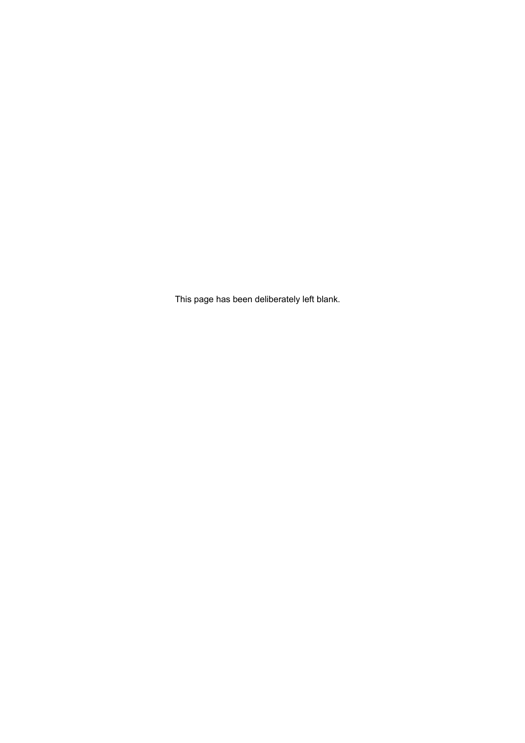This page has been deliberately left blank.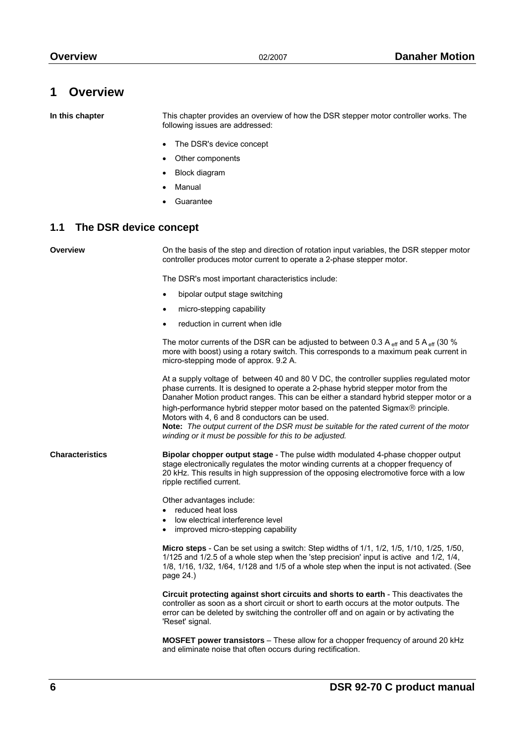### <span id="page-5-0"></span>**1 Overview**

**In this chapter** This chapter provides an overview of how the DSR stepper motor controller works. The following issues are addressed:

- The DSR's device concept
- Other components
- Block diagram
- **Manual**
- Guarantee

#### **1.1 The DSR device concept**

**Overview The Step and Step and Step and direction of rotation input variables, the DSR stepper motor** controller produces motor current to operate a 2-phase stepper motor.

The DSR's most important characteristics include:

- bipolar output stage switching
- micro-stepping capability
- reduction in current when idle

The motor currents of the DSR can be adjusted to between 0.3 A  $_{\text{eff}}$  and 5 A  $_{\text{eff}}$  (30 % more with boost) using a rotary switch. This corresponds to a maximum peak current in micro-stepping mode of approx. 9.2 A.

At a supply voltage of between 40 and 80 V DC, the controller supplies regulated motor phase currents. It is designed to operate a 2-phase hybrid stepper motor from the Danaher Motion product ranges. This can be either a standard hybrid stepper motor or a high-performance hybrid stepper motor based on the patented Sigmax® principle. Motors with 4, 6 and 8 conductors can be used.

**Note:** *The output current of the DSR must be suitable for the rated current of the motor winding or it must be possible for this to be adjusted.* 

**Characteristics Bipolar chopper output stage** - The pulse width modulated 4-phase chopper output stage electronically regulates the motor winding currents at a chopper frequency of 20 kHz. This results in high suppression of the opposing electromotive force with a low ripple rectified current.

Other advantages include:

- reduced heat loss
- low electrical interference level
- improved micro-stepping capability

**Micro steps** - Can be set using a switch: Step widths of 1/1, 1/2, 1/5, 1/10, 1/25, 1/50, 1/125 and 1/2.5 of a whole step when the 'step precision' input is active and 1/2, 1/4, 1/8, 1/16, 1/32, 1/64, 1/128 and 1/5 of a whole step when the input is not activated. (See page [24.](#page-23-1))

**Circuit protecting against short circuits and shorts to earth** - This deactivates the controller as soon as a short circuit or short to earth occurs at the motor outputs. The error can be deleted by switching the controller off and on again or by activating the 'Reset' signal.

**MOSFET power transistors** – These allow for a chopper frequency of around 20 kHz and eliminate noise that often occurs during rectification.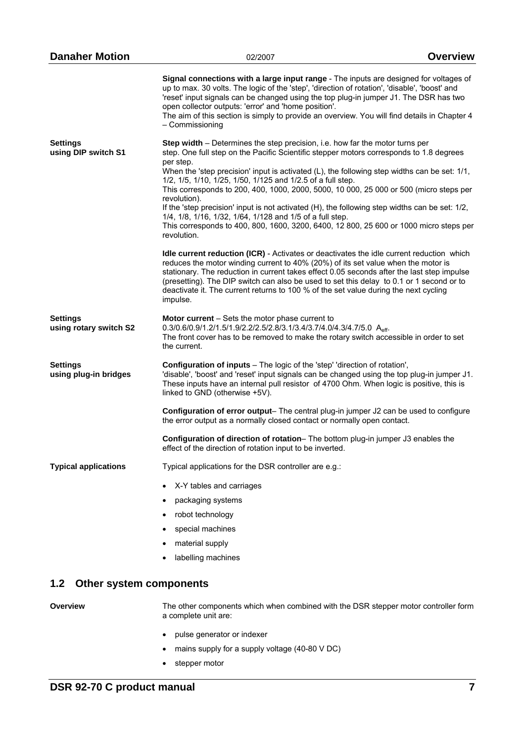<span id="page-6-0"></span>

| <b>Danaher Motion</b>                     | 02/2007                                                                                                                                                                                                                                                                                                                                                                                                                                                                                                                                                                                                                                                                                                                                            | <b>Overview</b> |
|-------------------------------------------|----------------------------------------------------------------------------------------------------------------------------------------------------------------------------------------------------------------------------------------------------------------------------------------------------------------------------------------------------------------------------------------------------------------------------------------------------------------------------------------------------------------------------------------------------------------------------------------------------------------------------------------------------------------------------------------------------------------------------------------------------|-----------------|
|                                           | Signal connections with a large input range - The inputs are designed for voltages of<br>up to max. 30 volts. The logic of the 'step', 'direction of rotation', 'disable', 'boost' and<br>'reset' input signals can be changed using the top plug-in jumper J1. The DSR has two<br>open collector outputs: 'error' and 'home position'.<br>The aim of this section is simply to provide an overview. You will find details in Chapter 4<br>- Commissioning                                                                                                                                                                                                                                                                                         |                 |
| <b>Settings</b><br>using DIP switch S1    | <b>Step width</b> – Determines the step precision, i.e. how far the motor turns per<br>step. One full step on the Pacific Scientific stepper motors corresponds to 1.8 degrees<br>per step.<br>When the 'step precision' input is activated $(L)$ , the following step widths can be set: $1/1$ ,<br>1/2, 1/5, 1/10, 1/25, 1/50, 1/125 and 1/2.5 of a full step.<br>This corresponds to 200, 400, 1000, 2000, 5000, 10 000, 25 000 or 500 (micro steps per<br>revolution).<br>If the 'step precision' input is not activated (H), the following step widths can be set: 1/2,<br>1/4, 1/8, 1/16, 1/32, 1/64, 1/128 and 1/5 of a full step.<br>This corresponds to 400, 800, 1600, 3200, 6400, 12 800, 25 600 or 1000 micro steps per<br>revolution. |                 |
|                                           | Idle current reduction (ICR) - Activates or deactivates the idle current reduction which<br>reduces the motor winding current to 40% (20%) of its set value when the motor is<br>stationary. The reduction in current takes effect 0.05 seconds after the last step impulse<br>(presetting). The DIP switch can also be used to set this delay to 0.1 or 1 second or to<br>deactivate it. The current returns to 100 % of the set value during the next cycling<br>impulse.                                                                                                                                                                                                                                                                        |                 |
| <b>Settings</b><br>using rotary switch S2 | Motor current - Sets the motor phase current to<br>0.3/0.6/0.9/1.2/1.5/1.9/2.2/2.5/2.8/3.1/3.4/3.7/4.0/4.3/4.7/5.0 Aeff.<br>The front cover has to be removed to make the rotary switch accessible in order to set<br>the current.                                                                                                                                                                                                                                                                                                                                                                                                                                                                                                                 |                 |
| <b>Settings</b><br>using plug-in bridges  | Configuration of inputs - The logic of the 'step' 'direction of rotation',<br>'disable', 'boost' and 'reset' input signals can be changed using the top plug-in jumper J1.<br>These inputs have an internal pull resistor of 4700 Ohm. When logic is positive, this is<br>linked to GND (otherwise +5V).                                                                                                                                                                                                                                                                                                                                                                                                                                           |                 |
|                                           | <b>Configuration of error output</b> – The central plug-in jumper J2 can be used to configure<br>the error output as a normally closed contact or normally open contact.                                                                                                                                                                                                                                                                                                                                                                                                                                                                                                                                                                           |                 |
|                                           | <b>Configuration of direction of rotation</b> The bottom plug-in jumper J3 enables the<br>effect of the direction of rotation input to be inverted.                                                                                                                                                                                                                                                                                                                                                                                                                                                                                                                                                                                                |                 |
| <b>Typical applications</b>               | Typical applications for the DSR controller are e.g.:                                                                                                                                                                                                                                                                                                                                                                                                                                                                                                                                                                                                                                                                                              |                 |
|                                           | X-Y tables and carriages                                                                                                                                                                                                                                                                                                                                                                                                                                                                                                                                                                                                                                                                                                                           |                 |
|                                           | packaging systems                                                                                                                                                                                                                                                                                                                                                                                                                                                                                                                                                                                                                                                                                                                                  |                 |
|                                           | robot technology                                                                                                                                                                                                                                                                                                                                                                                                                                                                                                                                                                                                                                                                                                                                   |                 |
|                                           | special machines<br>material supply                                                                                                                                                                                                                                                                                                                                                                                                                                                                                                                                                                                                                                                                                                                |                 |
|                                           | labelling machines                                                                                                                                                                                                                                                                                                                                                                                                                                                                                                                                                                                                                                                                                                                                 |                 |
|                                           |                                                                                                                                                                                                                                                                                                                                                                                                                                                                                                                                                                                                                                                                                                                                                    |                 |
| Other system components<br>1.2            |                                                                                                                                                                                                                                                                                                                                                                                                                                                                                                                                                                                                                                                                                                                                                    |                 |
| <b>Overview</b>                           | The other components which when combined with the DSR stepper motor controller form<br>a complete unit are:                                                                                                                                                                                                                                                                                                                                                                                                                                                                                                                                                                                                                                        |                 |

- pulse generator or indexer
- mains supply for a supply voltage (40-80 V DC)
- stepper motor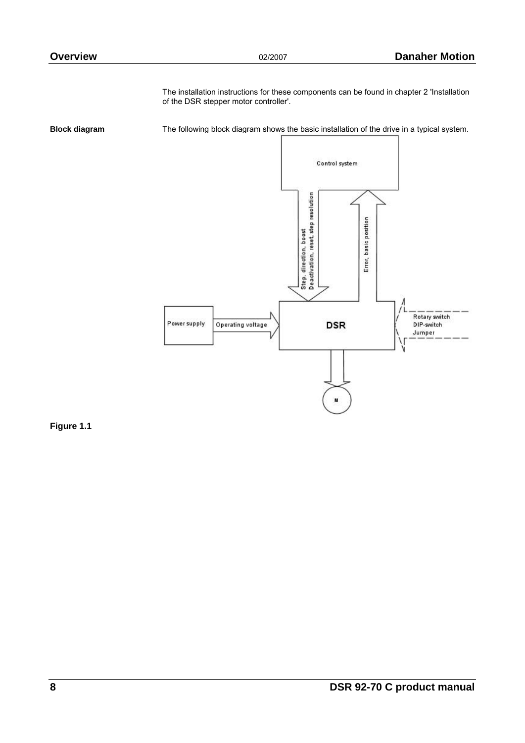The installation instructions for these components can be found in chapter 2 'Installation of the DSR stepper motor controller'.

**Block diagram** The following block diagram shows the basic installation of the drive in a typical system.



**Figure 1.1**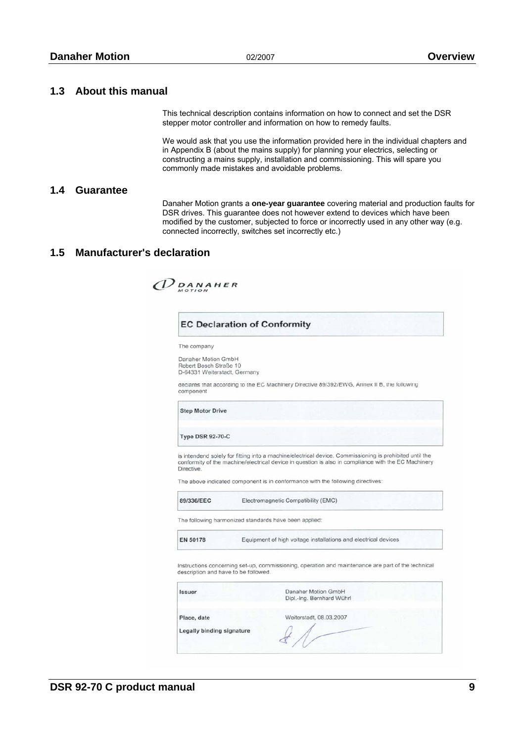#### <span id="page-8-0"></span>**1.3 About this manual**

This technical description contains information on how to connect and set the DSR stepper motor controller and information on how to remedy faults.

We would ask that you use the information provided here in the individual chapters and in Appendix B (about the mains supply) for planning your electrics, selecting or constructing a mains supply, installation and commissioning. This will spare you commonly made mistakes and avoidable problems.

#### **1.4 Guarantee**

Danaher Motion grants a **one-year guarantee** covering material and production faults for DSR drives. This guarantee does not however extend to devices which have been modified by the customer, subjected to force or incorrectly used in any other way (e.g. connected incorrectly, switches set incorrectly etc.)

### **1.5 Manufacturer's declaration**

|                                                                               | <b>EC Declaration of Conformity</b>                                                                                                                                                                            |
|-------------------------------------------------------------------------------|----------------------------------------------------------------------------------------------------------------------------------------------------------------------------------------------------------------|
| The company                                                                   |                                                                                                                                                                                                                |
| Danaher Motion GmbH<br>Robert Bosch Straße 10<br>D-64331 Weiterstadt, Germany |                                                                                                                                                                                                                |
| component                                                                     | declares that according to the EC Machinery Directive 89/392/EWG, Annex II B, the following                                                                                                                    |
| <b>Step Motor Drive</b>                                                       |                                                                                                                                                                                                                |
| <b>Type DSR 92-70-C</b>                                                       |                                                                                                                                                                                                                |
|                                                                               | is intendend solely for fitting into a machine/electrical device. Commissioning is prohibited until the<br>conformity of the machine/electrical device in question is also in compliance with the EC Machinery |
| 89/336/EEC                                                                    | The above indicated component is in conformance with the following directives:<br>Electromagnetic Compatibility (EMC)                                                                                          |
|                                                                               | The following harmonized standards have been applied:                                                                                                                                                          |
| <b>EN 50178</b>                                                               | Equipment of high voltage installations and electrical devices                                                                                                                                                 |
| Directive.<br>description and have to be followed.                            | Instructions concerning set-up, commissioning, operation and maintenance are part of the technical                                                                                                             |
| <b>Issuer</b>                                                                 | Danaher Motion GmbH<br>Dipl.-Ing. Bernhard Wührl                                                                                                                                                               |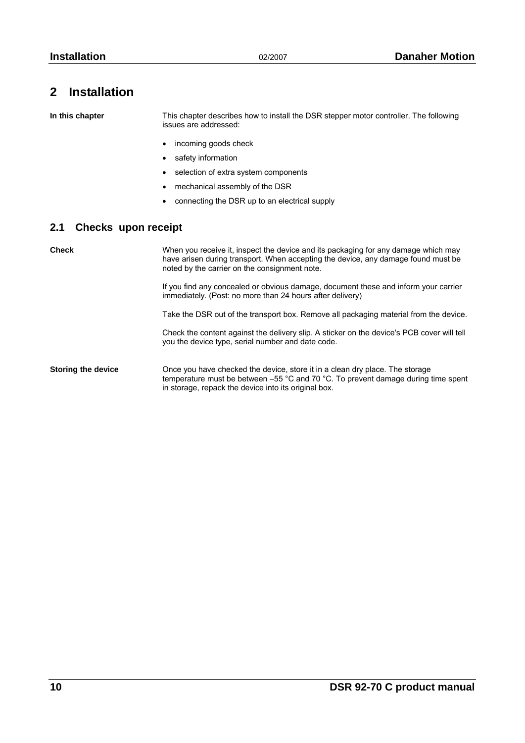## <span id="page-9-0"></span>**2 Installation**

**In this chapter** This chapter describes how to install the DSR stepper motor controller. The following issues are addressed:

- incoming goods check
- safety information
- selection of extra system components
- mechanical assembly of the DSR
- connecting the DSR up to an electrical supply

#### **2.1 Checks upon receipt**

**Check** When you receive it, inspect the device and its packaging for any damage which may have arisen during transport. When accepting the device, any damage found must be noted by the carrier on the consignment note.

> If you find any concealed or obvious damage, document these and inform your carrier immediately. (Post: no more than 24 hours after delivery)

Take the DSR out of the transport box. Remove all packaging material from the device.

Check the content against the delivery slip. A sticker on the device's PCB cover will tell you the device type, serial number and date code.

**Storing the device Once you have checked the device, store it in a clean dry place. The storage** temperature must be between –55 °C and 70 °C. To prevent damage during time spent in storage, repack the device into its original box.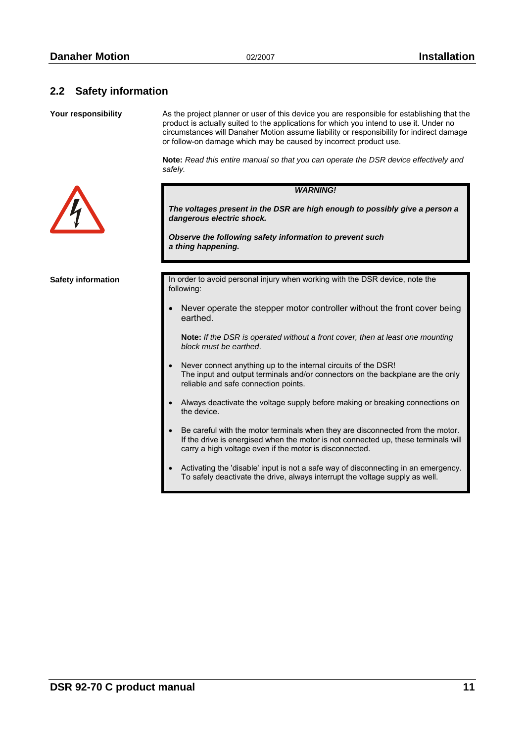*dangerous electric shock.*

*a thing happening.* 

#### <span id="page-10-0"></span>**2.2 Safety information**

**Your responsibility** As the project planner or user of this device you are responsible for establishing that the product is actually suited to the applications for which you intend to use it. Under no circumstances will Danaher Motion assume liability or responsibility for indirect damage or follow-on damage which may be caused by incorrect product use.

> **Note:** *Read this entire manual so that you can operate the DSR device effectively and safely.*

> > *WARNING!*

*The voltages present in the DSR are high enough to possibly give a person a* 



**Safety information** In order to avoid personal injury when working with the DSR device, note the following:

*Observe the following safety information to prevent such* 

Never operate the stepper motor controller without the front cover being earthed.

**Note:** *If the DSR is operated without a front cover, then at least one mounting block must be earthed*.

- Never connect anything up to the internal circuits of the DSR! The input and output terminals and/or connectors on the backplane are the only reliable and safe connection points.
- Always deactivate the voltage supply before making or breaking connections on the device.
- Be careful with the motor terminals when they are disconnected from the motor. If the drive is energised when the motor is not connected up, these terminals will carry a high voltage even if the motor is disconnected.
- Activating the 'disable' input is not a safe way of disconnecting in an emergency. To safely deactivate the drive, always interrupt the voltage supply as well.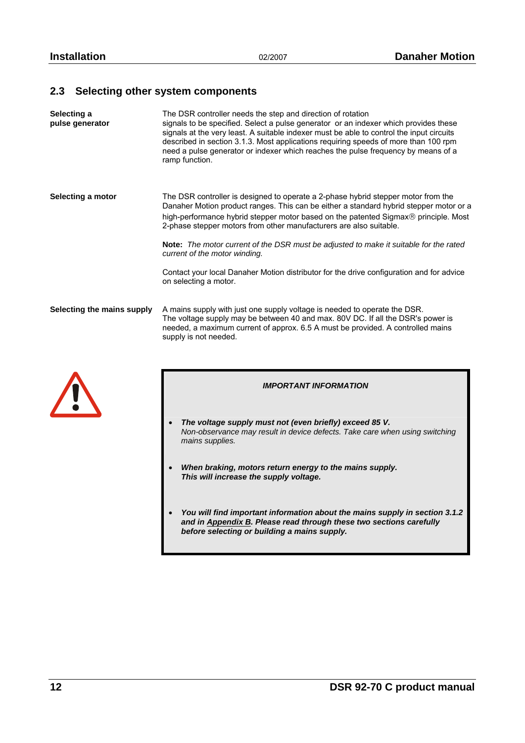#### <span id="page-11-0"></span>**2.3 Selecting other system components**

| Selecting a<br>pulse generator | The DSR controller needs the step and direction of rotation<br>signals to be specified. Select a pulse generator or an indexer which provides these<br>signals at the very least. A suitable indexer must be able to control the input circuits<br>described in section 3.1.3. Most applications requiring speeds of more than 100 rpm<br>need a pulse generator or indexer which reaches the pulse frequency by means of a<br>ramp function. |
|--------------------------------|-----------------------------------------------------------------------------------------------------------------------------------------------------------------------------------------------------------------------------------------------------------------------------------------------------------------------------------------------------------------------------------------------------------------------------------------------|
| Selecting a motor              | The DSR controller is designed to operate a 2-phase hybrid stepper motor from the<br>Danaher Motion product ranges. This can be either a standard hybrid stepper motor or a<br>high-performance hybrid stepper motor based on the patented Sigmax® principle. Most<br>2-phase stepper motors from other manufacturers are also suitable.                                                                                                      |
|                                | Note: The motor current of the DSR must be adjusted to make it suitable for the rated<br>current of the motor winding.                                                                                                                                                                                                                                                                                                                        |
|                                | Contact your local Danaher Motion distributor for the drive configuration and for advice<br>on selecting a motor.                                                                                                                                                                                                                                                                                                                             |
| Selecting the mains supply     | A mains supply with just one supply voltage is needed to operate the DSR.<br>The voltage supply may be between 40 and max. 80V DC. If all the DSR's power is<br>needed, a maximum current of approx. 6.5 A must be provided. A controlled mains<br>supply is not needed.                                                                                                                                                                      |



#### *IMPORTANT INFORMATION*

- *The voltage supply must not (even briefly) exceed 85 V. Non-observance may result in device defects. Take care when using switching mains supplies.*
- *When braking, motors return energy to the mains supply. This will increase the supply voltage.*
- *You will find important information about the mains supply in section [3.1.2](#page-20-1) and in Appendix B. Please read through these two sections carefully before selecting or building a mains supply.*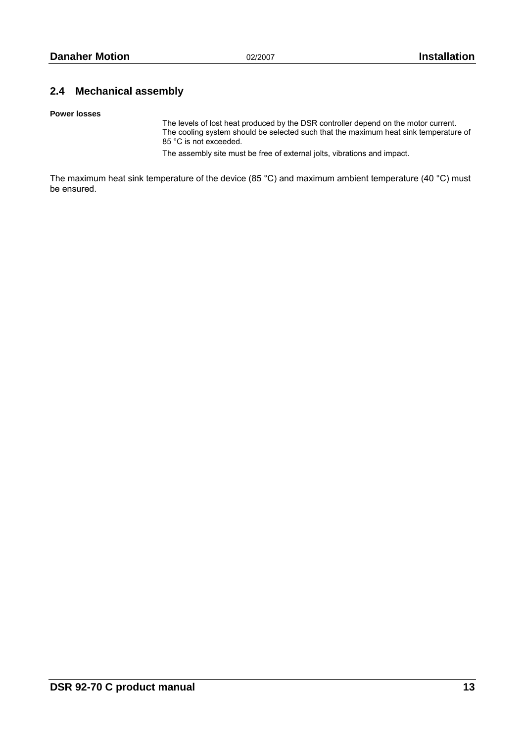### <span id="page-12-1"></span><span id="page-12-0"></span>**2.4 Mechanical assembly**

#### **Power losses**

The levels of lost heat produced by the DSR controller depend on the motor current. The cooling system should be selected such that the maximum heat sink temperature of 85 °C is not exceeded.

The assembly site must be free of external jolts, vibrations and impact.

The maximum heat sink temperature of the device (85 °C) and maximum ambient temperature (40 °C) must be ensured.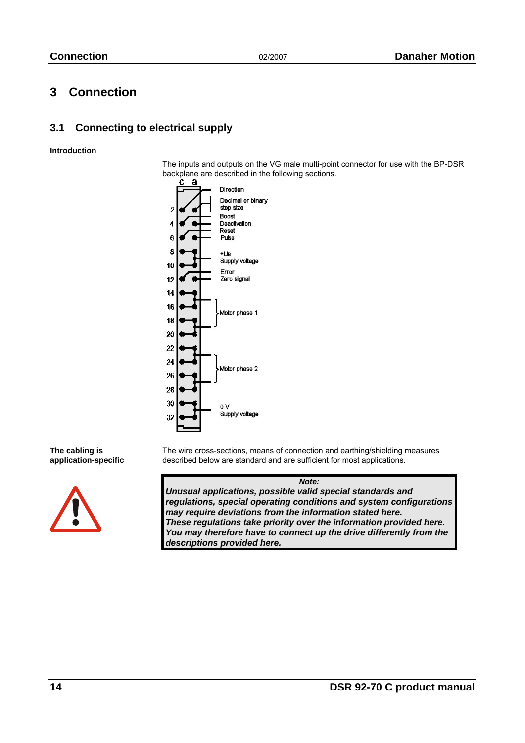# <span id="page-13-0"></span>**3 Connection**

### **3.1 Connecting to electrical supply**

**Introduction**

The inputs and outputs on the VG male multi-point connector for use with the BP-DSR backplane are described in the following sections.





**The cabling is** The wire cross-sections, means of connection and earthing/shielding measures **application-specific** described below are standard and are sufficient for most applications.

#### *Note:*

*Unusual applications, possible valid special standards and regulations, special operating conditions and system configurations may require deviations from the information stated here. These regulations take priority over the information provided here. You may therefore have to connect up the drive differently from the descriptions provided here.*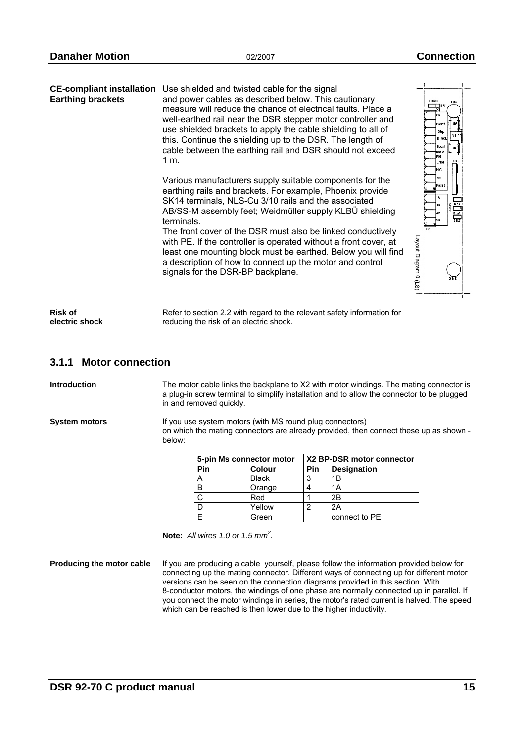<span id="page-14-0"></span>

| <b>Earthing brackets</b>         | <b>CE-compliant installation</b> Use shielded and twisted cable for the signal<br>and power cables as described below. This cautionary<br>measure will reduce the chance of electrical faults. Place a<br>well-earthed rail near the DSR stepper motor controller and<br>use shielded brackets to apply the cable shielding to all of<br>this. Continue the shielding up to the DSR. The length of<br>cable between the earthing rail and DSR should not exceed<br>1 m.                                                                                     | HSMS<br>Deact<br><b>Step</b><br>Direct<br>Boos <sub>t</sub><br>Bask<br>Pos.<br>Error          |
|----------------------------------|-------------------------------------------------------------------------------------------------------------------------------------------------------------------------------------------------------------------------------------------------------------------------------------------------------------------------------------------------------------------------------------------------------------------------------------------------------------------------------------------------------------------------------------------------------------|-----------------------------------------------------------------------------------------------|
|                                  | Various manufacturers supply suitable components for the<br>earthing rails and brackets. For example, Phoenix provide<br>SK14 terminals, NLS-Cu 3/10 rails and the associated<br>AB/SS-M assembly feet; Weidmüller supply KLBÜ shielding<br>terminals.<br>The front cover of the DSR must also be linked conductively<br>with PE. If the controller is operated without a front cover, at<br>least one mounting block must be earthed. Below you will find<br>a description of how to connect up the motor and control<br>signals for the DSR-BP backplane. | <b>NC</b><br>Rese <sup>-</sup><br><b>BRL</b><br>$\frac{1}{\sqrt{1}}$<br>Layout Diagram 0 (LS) |
| <b>Risk of</b><br>electric shock | Refer to section 2.2 with regard to the relevant safety information for<br>reducing the risk of an electric shock.                                                                                                                                                                                                                                                                                                                                                                                                                                          |                                                                                               |

#### <span id="page-14-1"></span>**3.1.1 Motor connection**

**Introduction** The motor cable links the backplane to X2 with motor windings. The mating connector is a plug-in screw terminal to simplify installation and to allow the connector to be plugged in and removed quickly.

**System motors If you use system motors (with MS round plug connectors)** on which the mating connectors are already provided, then connect these up as shown below:

| 5-pin Ms connector motor |              | X2 BP-DSR motor connector |                    |  |
|--------------------------|--------------|---------------------------|--------------------|--|
| Pin<br>Colour            |              | <b>Pin</b>                | <b>Designation</b> |  |
| A                        | <b>Black</b> | 3                         | 1B                 |  |
| B                        | Orange       |                           | 1A                 |  |
| $\overline{\text{c}}$    | Red          |                           | 2B                 |  |
| D                        | Yellow       | ◠                         | 2A                 |  |
| E                        | Green        |                           | connect to PE      |  |

**Note:** *All wires 1.0 or 1.5 mm2 .* 

**Producing the motor cable** If you are producing a cable yourself, please follow the information provided below for connecting up the mating connector. Different ways of connecting up for different motor versions can be seen on the connection diagrams provided in this section. With 8-conductor motors, the windings of one phase are normally connected up in parallel. If you connect the motor windings in series, the motor's rated current is halved. The speed which can be reached is then lower due to the higher inductivity.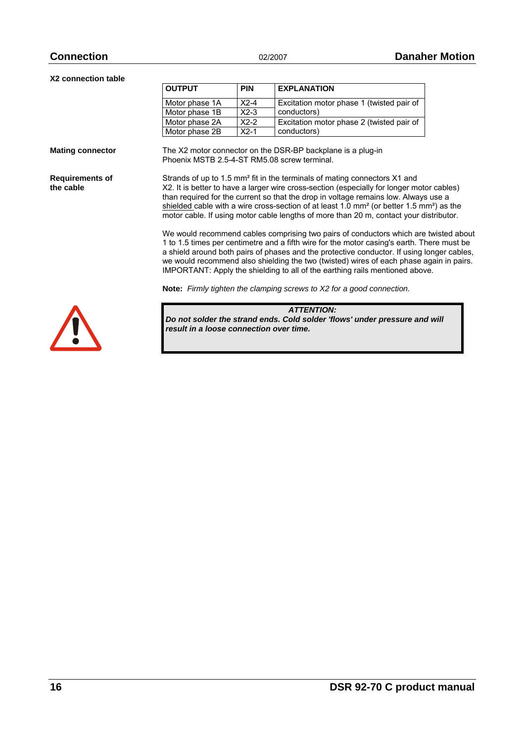**X2 connection table** 

|                                     | <b>OUTPUT</b>                                                                                                                                                                                                                                                                                                                                                                                                                                                       | <b>PIN</b> | <b>EXPLANATION</b>                                                                                                                                                                                                                                                                                                                                                                                                                                          |  |  |
|-------------------------------------|---------------------------------------------------------------------------------------------------------------------------------------------------------------------------------------------------------------------------------------------------------------------------------------------------------------------------------------------------------------------------------------------------------------------------------------------------------------------|------------|-------------------------------------------------------------------------------------------------------------------------------------------------------------------------------------------------------------------------------------------------------------------------------------------------------------------------------------------------------------------------------------------------------------------------------------------------------------|--|--|
|                                     | Motor phase 1A                                                                                                                                                                                                                                                                                                                                                                                                                                                      | $X2-4$     | Excitation motor phase 1 (twisted pair of                                                                                                                                                                                                                                                                                                                                                                                                                   |  |  |
|                                     | Motor phase 1B                                                                                                                                                                                                                                                                                                                                                                                                                                                      | $X2-3$     | conductors)                                                                                                                                                                                                                                                                                                                                                                                                                                                 |  |  |
|                                     | Motor phase 2A                                                                                                                                                                                                                                                                                                                                                                                                                                                      | $X2-2$     | Excitation motor phase 2 (twisted pair of                                                                                                                                                                                                                                                                                                                                                                                                                   |  |  |
|                                     | Motor phase 2B                                                                                                                                                                                                                                                                                                                                                                                                                                                      | $X2-1$     | conductors)                                                                                                                                                                                                                                                                                                                                                                                                                                                 |  |  |
| <b>Mating connector</b>             | Phoenix MSTB 2.5-4-ST RM5.08 screw terminal.                                                                                                                                                                                                                                                                                                                                                                                                                        |            | The X2 motor connector on the DSR-BP backplane is a plug-in                                                                                                                                                                                                                                                                                                                                                                                                 |  |  |
| <b>Requirements of</b><br>the cable | Strands of up to 1.5 mm <sup>2</sup> fit in the terminals of mating connectors X1 and<br>X2. It is better to have a larger wire cross-section (especially for longer motor cables)<br>than required for the current so that the drop in voltage remains low. Always use a<br>shielded cable with a wire cross-section of at least 1.0 $mm2$ (or better 1.5 $mm2$ ) as the<br>motor cable. If using motor cable lengths of more than 20 m, contact your distributor. |            |                                                                                                                                                                                                                                                                                                                                                                                                                                                             |  |  |
|                                     |                                                                                                                                                                                                                                                                                                                                                                                                                                                                     |            | We would recommend cables comprising two pairs of conductors which are twisted about<br>1 to 1.5 times per centimetre and a fifth wire for the motor casing's earth. There must be<br>a shield around both pairs of phases and the protective conductor. If using longer cables,<br>we would recommend also shielding the two (twisted) wires of each phase again in pairs.<br>IMPORTANT: Apply the shielding to all of the earthing rails mentioned above. |  |  |
|                                     |                                                                                                                                                                                                                                                                                                                                                                                                                                                                     |            | <b>Note:</b> Firmly tighten the clamping screws to X2 for a good connection.                                                                                                                                                                                                                                                                                                                                                                                |  |  |
|                                     |                                                                                                                                                                                                                                                                                                                                                                                                                                                                     |            | <b>ATTENTION:</b><br>Do not solder the strand ends. Cold solder 'flows' under pressure and will                                                                                                                                                                                                                                                                                                                                                             |  |  |

*result in a loose connection over time.*

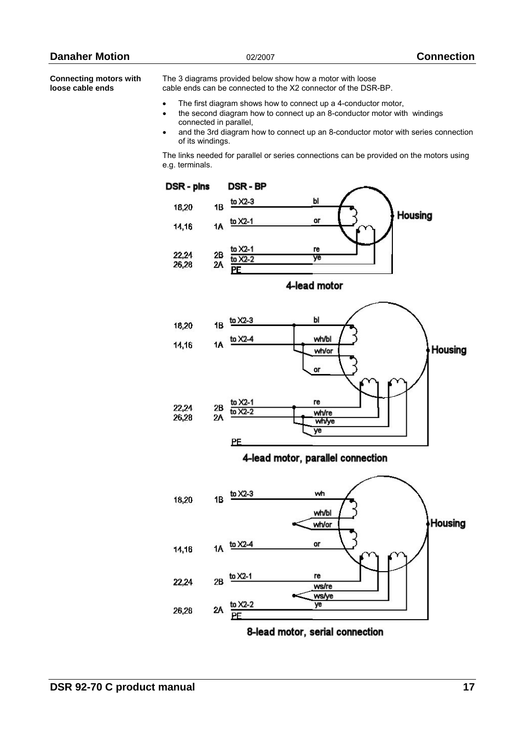**Connecting motors with** The 3 diagrams provided below show how a motor with loose **loose cable ends** cable ends can be connected to the X2 connector of the DSR-BP.

- The first diagram shows how to connect up a 4-conductor motor,
- the second diagram how to connect up an 8-conductor motor with windings connected in parallel,
- and the 3rd diagram how to connect up an 8-conductor motor with series connection of its windings.

The links needed for parallel or series connections can be provided on the motors using e.g. terminals.



8-lead motor, serial connection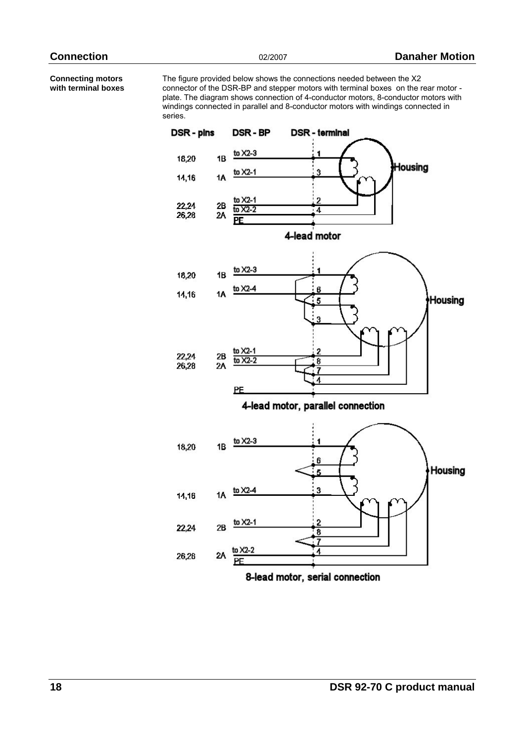**Connecting motors** The figure provided below shows the connections needed between the X2 with terminal boxes connection of the DSR-BP and stepper motors with terminal boxes on the r connector of the DSR-BP and stepper motors with terminal boxes on the rear motor plate. The diagram shows connection of 4-conductor motors, 8-conductor motors with windings connected in parallel and 8-conductor motors with windings connected in series.



8-lead motor, serial connection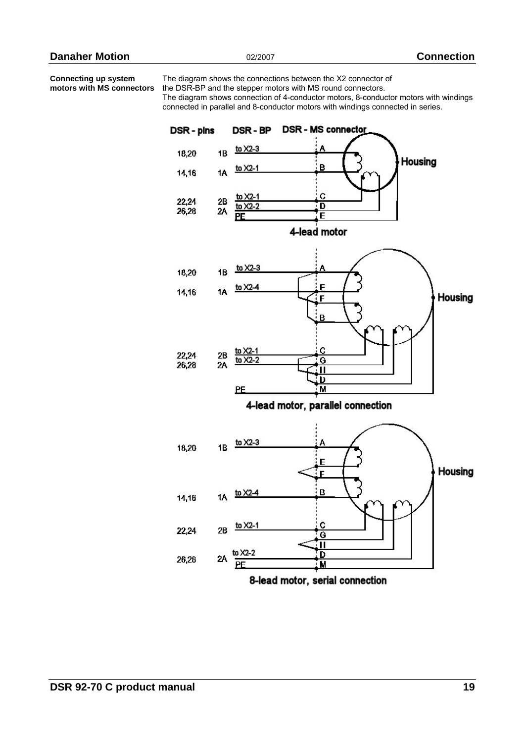**Connecting up system** The diagram shows the connections between the X2 connector of **motors with MS connectors** the DSR-BP and the stepper motors with MS round connectors. the DSR-BP and the stepper motors with MS round connectors. The diagram shows connection of 4-conductor motors, 8-conductor motors with windings connected in parallel and 8-conductor motors with windings connected in series.

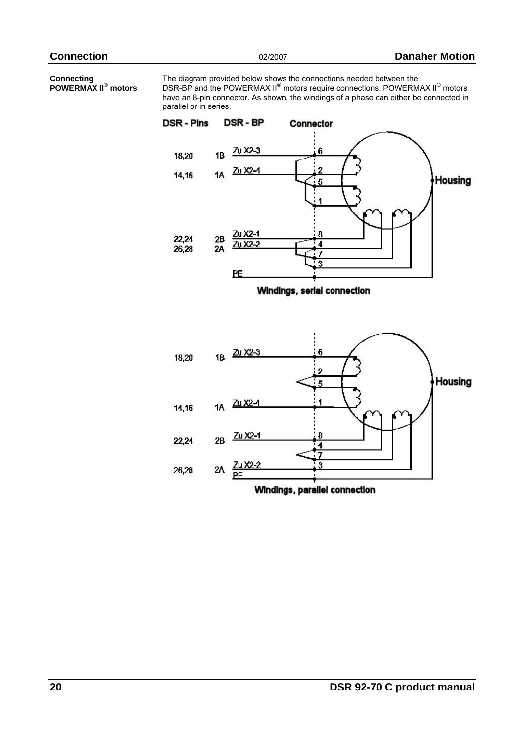**POWERMAX II®**

**Connecting The diagram provided below shows the connections needed between the motors** DSR-BP and the POWERMAX II<sup>®</sup> motors require connections. POWERMAX II<sup>®</sup> motors have an 8-pin connector. As shown, the windings of a phase can either be connected in parallel or in series.



Windings, serial connection

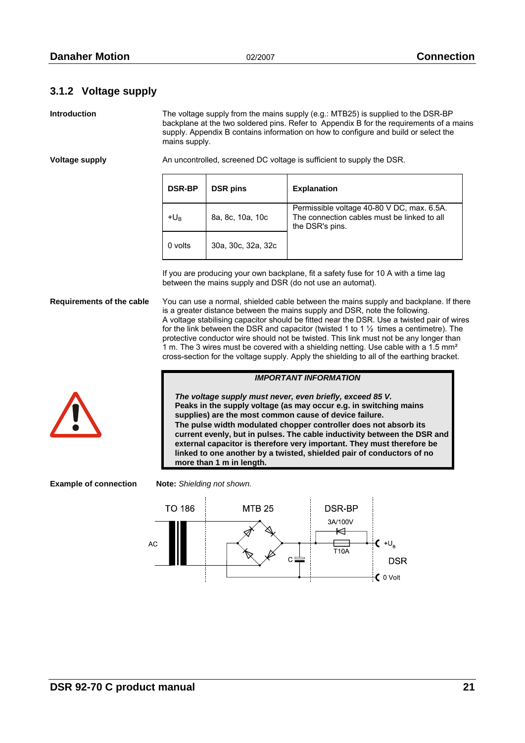### <span id="page-20-1"></span><span id="page-20-0"></span>**3.1.2 Voltage supply**

**Introduction** The voltage supply from the mains supply (e.g.: MTB25) is supplied to the DSR-BP backplane at the two soldered pins. Refer to Appendix B for the requirements of a mains supply. Appendix B contains information on how to configure and build or select the mains supply.

**Voltage supply An uncontrolled, screened DC voltage is sufficient to supply the DSR.** 

| <b>DSR-BP</b>   | <b>DSR</b> pins    | <b>Explanation</b>                                                                                           |
|-----------------|--------------------|--------------------------------------------------------------------------------------------------------------|
| +U <sub>R</sub> | 8a, 8c, 10a, 10c   | Permissible voltage 40-80 V DC, max. 6.5A.<br>The connection cables must be linked to all<br>the DSR's pins. |
| 0 volts         | 30a, 30c, 32a, 32c |                                                                                                              |

 If you are producing your own backplane, fit a safety fuse for 10 A with a time lag between the mains supply and DSR (do not use an automat).

**Requirements of the cable** You can use a normal, shielded cable between the mains supply and backplane. If there is a greater distance between the mains supply and DSR, note the following. A voltage stabilising capacitor should be fitted near the DSR. Use a twisted pair of wires for the link between the DSR and capacitor (twisted 1 to 1  $\frac{1}{2}$  times a centimetre). The protective conductor wire should not be twisted. This link must not be any longer than 1 m. The 3 wires must be covered with a shielding netting. Use cable with a 1.5 mm² cross-section for the voltage supply. Apply the shielding to all of the earthing bracket.

#### *IMPORTANT INFORMATION*

*The voltage supply must never, even briefly, exceed 85 V.*  **Peaks in the supply voltage (as may occur e.g. in switching mains supplies) are the most common cause of device failure. The pulse width modulated chopper controller does not absorb its current evenly, but in pulses. The cable inductivity between the DSR and external capacitor is therefore very important. They must therefore be linked to one another by a twisted, shielded pair of conductors of no more than 1 m in length.**

**Example of connection Note:** *Shielding not shown.* 

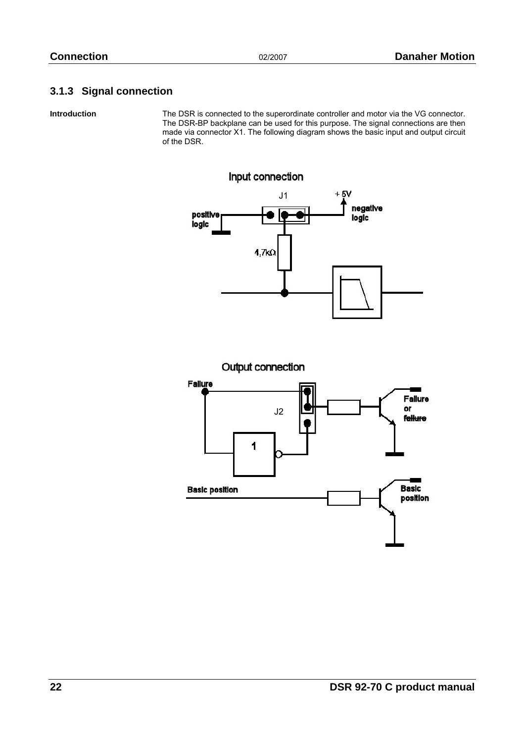# <span id="page-21-1"></span><span id="page-21-0"></span>**3.1.3 Signal connection**

**Introduction** The DSR is connected to the superordinate controller and motor via the VG connector. The DSR-BP backplane can be used for this purpose. The signal connections are then made via connector X1. The following diagram shows the basic input and output circuit of the DSR.

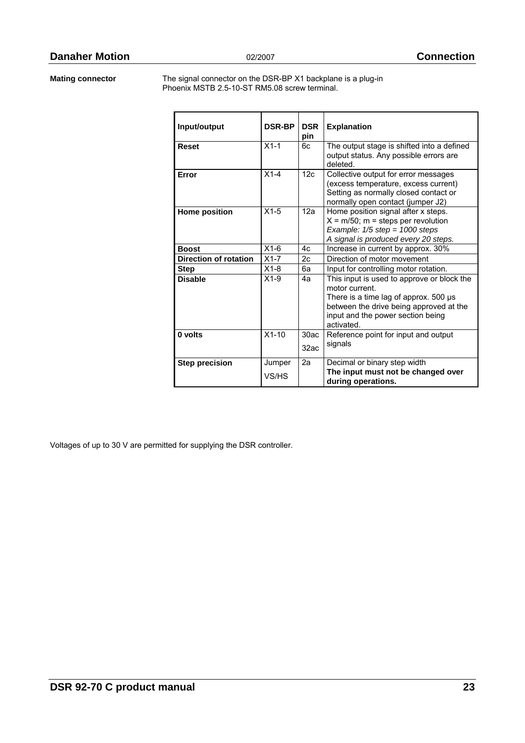**Mating connector** The signal connector on the DSR-BP X1 backplane is a plug-in Phoenix MSTB 2.5-10-ST RM5.08 screw terminal.

| Input/output                 | <b>DSR-BP</b>   | <b>DSR</b><br>pin | <b>Explanation</b>                                                                                                                                                                                       |
|------------------------------|-----------------|-------------------|----------------------------------------------------------------------------------------------------------------------------------------------------------------------------------------------------------|
| <b>Reset</b>                 | $X1-1$          | 6c                | The output stage is shifted into a defined<br>output status. Any possible errors are<br>deleted.                                                                                                         |
| Error                        | $X1-4$          | 12 <sub>c</sub>   | Collective output for error messages<br>(excess temperature, excess current)<br>Setting as normally closed contact or<br>normally open contact (jumper J2)                                               |
| Home position                | $X1-5$          | 12a               | Home position signal after x steps.<br>$X = m/50$ ; m = steps per revolution<br>Example: $1/5$ step = $1000$ steps<br>A signal is produced every 20 steps.                                               |
| <b>Boost</b>                 | $X1-6$          | 4c                | Increase in current by approx. 30%                                                                                                                                                                       |
| <b>Direction of rotation</b> | $X1-7$          | 2c                | Direction of motor movement                                                                                                                                                                              |
| <b>Step</b>                  | $X1-8$          | 6a                | Input for controlling motor rotation.                                                                                                                                                                    |
| <b>Disable</b>               | $X1-9$          | 4a                | This input is used to approve or block the<br>motor current.<br>There is a time lag of approx. 500 $\mu$ s<br>between the drive being approved at the<br>input and the power section being<br>activated. |
| 0 volts                      | $X1-10$         | 30ac<br>32ac      | Reference point for input and output<br>signals                                                                                                                                                          |
| <b>Step precision</b>        | Jumper<br>VS/HS | 2a                | Decimal or binary step width<br>The input must not be changed over<br>during operations.                                                                                                                 |

Voltages of up to 30 V are permitted for supplying the DSR controller.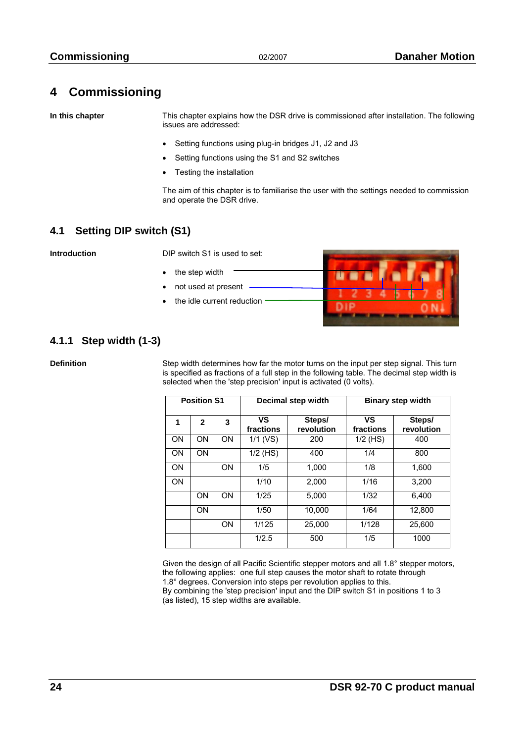# <span id="page-23-0"></span>**4 Commissioning**

**In this chapter** This chapter explains how the DSR drive is commissioned after installation. The following issues are addressed:

- Setting functions using plug-in bridges J1, J2 and J3
- Setting functions using the S1 and S2 switches
- Testing the installation

The aim of this chapter is to familiarise the user with the settings needed to commission and operate the DSR drive.

### **4.1 Setting DIP switch (S1)**

**Introduction DIP** switch S1 is used to set:

- the step width
- not used at present
- the idle current reduction ·



### <span id="page-23-1"></span>**4.1.1 Step width (1-3)**

**Definition** Step width determines how far the motor turns on the input per step signal. This turn is specified as fractions of a full step in the following table. The decimal step width is selected when the 'step precision' input is activated (0 volts).

| <b>Position S1</b> |              |    | Decimal step width                      | <b>Binary step width</b> |                 |                      |
|--------------------|--------------|----|-----------------------------------------|--------------------------|-----------------|----------------------|
| 1                  | $\mathbf{2}$ | 3  | VS<br>Steps/<br>revolution<br>fractions |                          | VS<br>fractions | Steps/<br>revolution |
| ON                 | ON           | ON | $1/1$ (VS)                              | 200                      | $1/2$ (HS)      | 400                  |
| <b>ON</b>          | ON           |    | $1/2$ (HS)                              | 400                      | 1/4             | 800                  |
| ON                 |              | ON | 1/5                                     | 1.000                    | 1/8             | 1.600                |
| ON                 |              |    | 1/10                                    | 2.000                    | 1/16            | 3.200                |
|                    | ON           | ON | 1/25                                    | 5.000                    | 1/32            | 6.400                |
|                    | ON.          |    | 1/50                                    | 10.000                   | 1/64            | 12,800               |
|                    |              | ON | 1/125                                   | 25.000                   | 1/128           | 25.600               |
|                    |              |    | 1/2.5                                   | 500                      | 1/5             | 1000                 |

Given the design of all Pacific Scientific stepper motors and all 1.8° stepper motors, the following applies: one full step causes the motor shaft to rotate through 1.8° degrees. Conversion into steps per revolution applies to this. By combining the 'step precision' input and the DIP switch S1 in positions 1 to 3 (as listed), 15 step widths are available.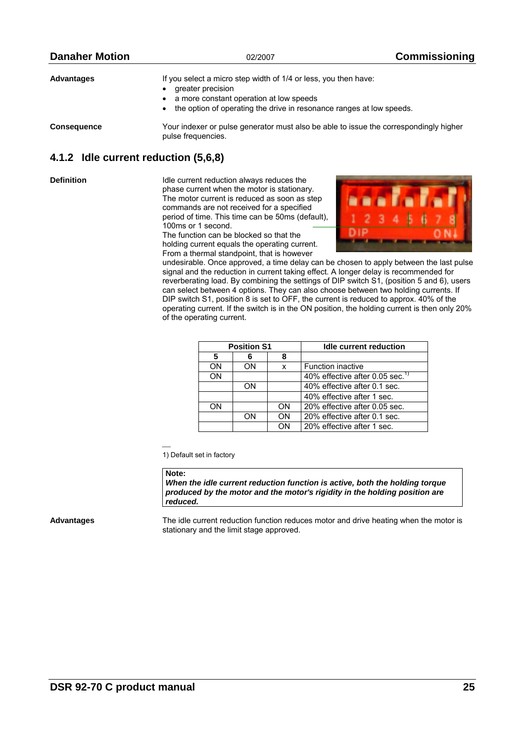<span id="page-24-0"></span>

| <b>Danaher Motion</b> | 02/2007                                                                                                     | <b>Commissioning</b> |
|-----------------------|-------------------------------------------------------------------------------------------------------------|----------------------|
| <b>Advantages</b>     | If you select a micro step width of 1/4 or less, you then have:<br>greater precision<br>٠                   |                      |
|                       | a more constant operation at low speeds<br>$\bullet$                                                        |                      |
|                       | the option of operating the drive in resonance ranges at low speeds.<br>$\bullet$                           |                      |
| <b>Consequence</b>    | Your indexer or pulse generator must also be able to issue the correspondingly higher<br>pulse frequencies. |                      |

### **4.1.2 Idle current reduction (5,6,8)**

**Definition IDED** Idle current reduction always reduces the phase current when the motor is stationary. The motor current is reduced as soon as step commands are not received for a specified period of time. This time can be 50ms (default), 100ms or 1 second.

> The function can be blocked so that the holding current equals the operating current. From a thermal standpoint, that is however



undesirable. Once approved, a time delay can be chosen to apply between the last pulse signal and the reduction in current taking effect. A longer delay is recommended for reverberating load. By combining the settings of DIP switch S1, (position 5 and 6), users can select between 4 options. They can also choose between two holding currents. If DIP switch S1, position 8 is set to OFF, the current is reduced to approx. 40% of the operating current. If the switch is in the ON position, the holding current is then only 20% of the operating current.

| <b>Position S1</b> |    |    | <b>Idle current reduction</b>               |
|--------------------|----|----|---------------------------------------------|
| 5                  | 6  | 8  |                                             |
| OΝ                 | ON | x  | <b>Function inactive</b>                    |
| ON                 |    |    | 40% effective after 0.05 sec. <sup>17</sup> |
|                    | ON |    | 40% effective after 0.1 sec.                |
|                    |    |    | 40% effective after 1 sec.                  |
| OΝ                 |    | ON | 20% effective after 0.05 sec.               |
|                    | ON | ON | 20% effective after 0.1 sec.                |
|                    |    | ΩN | 20% effective after 1 sec.                  |

1) Default set in factory

**Note:** 

⎯

*When the idle current reduction function is active, both the holding torque produced by the motor and the motor's rigidity in the holding position are reduced.* 

**Advantages** The idle current reduction function reduces motor and drive heating when the motor is stationary and the limit stage approved.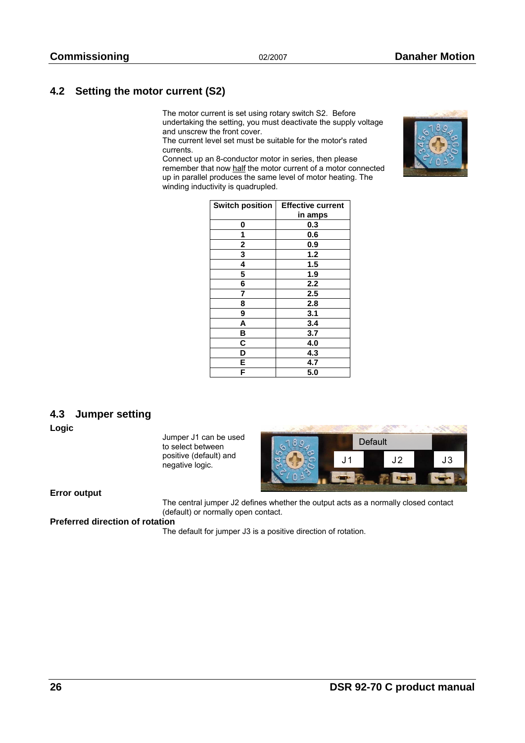### <span id="page-25-0"></span>**4.2 Setting the motor current (S2)**

The motor current is set using rotary switch S2. Before undertaking the setting, you must deactivate the supply voltage and unscrew the front cover.

The current level set must be suitable for the motor's rated currents.

Connect up an 8-conductor motor in series, then please remember that now half the motor current of a motor connected up in parallel produces the same level of motor heating. The winding inductivity is quadrupled.



| <b>Switch position</b> | <b>Effective current</b> |
|------------------------|--------------------------|
|                        | in amps                  |
| 0                      | 0.3                      |
| 1                      | 0.6                      |
| $\overline{2}$         | 0.9                      |
| 3                      | 1.2                      |
| 4                      | 1.5                      |
| 5                      | 1.9                      |
| 6                      | 2.2                      |
| 7                      | 2.5                      |
| 8                      | 2.8                      |
| 9                      | 3.1                      |
| A                      | 3.4                      |
| В                      | 3.7                      |
| C                      | 4.0                      |
| D                      | 4.3                      |
| E                      | 4.7                      |
| F                      | 5.0                      |

### **4.3 Jumper setting**

**Logic**

Jumper J1 can be used to select between positive (default) and



#### **Error output**

The central jumper J2 defines whether the output acts as a normally closed contact (default) or normally open contact.

**Preferred direction of rotation**

The default for jumper J3 is a positive direction of rotation.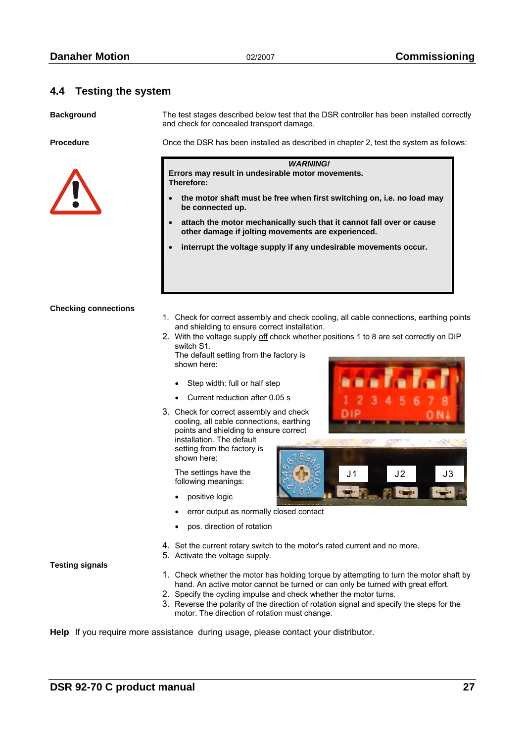#### <span id="page-26-0"></span>**4.4 Testing the system**



**Background** The test stages described below test that the DSR controller has been installed correctly and check for concealed transport damage.

**Procedure Concertive DONS** has been installed as described in chapter 2, test the system as follows:

*WARNING!*  **Errors may result in undesirable motor movements. Therefore:** 

- **the motor shaft must be free when first switching on, i.e. no load may be connected up.**
- **attach the motor mechanically such that it cannot fall over or cause other damage if jolting movements are experienced.**
- **interrupt the voltage supply if any undesirable movements occur.**

**Checking connections** 

- 1. Check for correct assembly and check cooling, all cable connections, earthing points and shielding to ensure correct installation.
- 2. With the voltage supply off check whether positions 1 to 8 are set correctly on DIP switch S1.

The default setting from the factory is shown here:

- Step width: full or half step
- Current reduction after 0.05 s
- 3. Check for correct assembly and check cooling, all cable connections, earthing points and shielding to ensure correct installation. The default

setting from the factory is shown here:

The settings have the following meanings:

- positive logic
- error output as normally closed contact
- pos. direction of rotation
- 4. Set the current rotary switch to the motor's rated current and no more.
- 5. Activate the voltage supply.

#### **Testing signals**

- 1. Check whether the motor has holding torque by attempting to turn the motor shaft by hand. An active motor cannot be turned or can only be turned with great effort.
- 2. Specify the cycling impulse and check whether the motor turns.
- 3. Reverse the polarity of the direction of rotation signal and specify the steps for the motor. The direction of rotation must change.

**Help** If you require more assistance during usage, please contact your distributor.



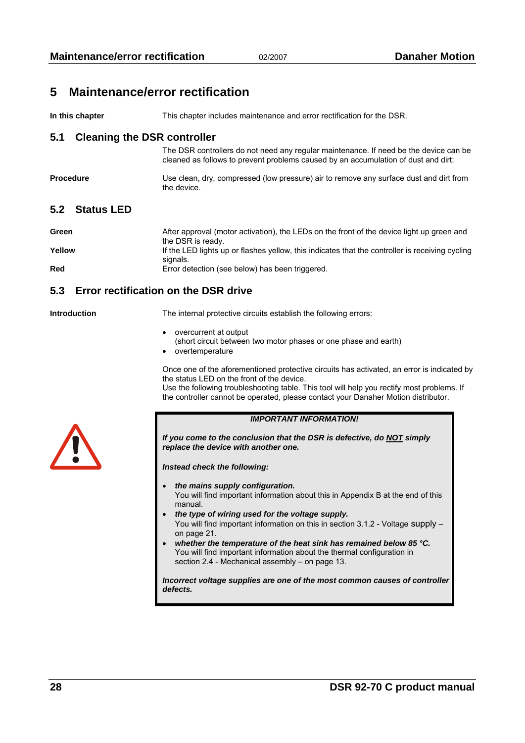### <span id="page-27-0"></span>**5 Maintenance/error rectification**

**In this chapter <b>This chapter includes** maintenance and error rectification for the DSR.

#### **5.1 Cleaning the DSR controller**

The DSR controllers do not need any regular maintenance. If need be the device can be cleaned as follows to prevent problems caused by an accumulation of dust and dirt:

**Procedure** Use clean, dry, compressed (low pressure) air to remove any surface dust and dirt from the device.

#### **5.2 Status LED**

| Green  | After approval (motor activation), the LEDs on the front of the device light up green and<br>the DSR is ready. |
|--------|----------------------------------------------------------------------------------------------------------------|
| Yellow | If the LED lights up or flashes yellow, this indicates that the controller is receiving cycling<br>signals.    |
| Red    | Error detection (see below) has been triggered.                                                                |

#### **5.3 Error rectification on the DSR drive**

**Introduction The internal protective circuits establish the following errors:** 

- overcurrent at output
- (short circuit between two motor phases or one phase and earth)
- overtemperature

Once one of the aforementioned protective circuits has activated, an error is indicated by the status LED on the front of the device. Use the following troubleshooting table. This tool will help you rectify most problems. If the controller cannot be operated, please contact your Danaher Motion distributor.



#### *IMPORTANT INFORMATION!*

*If you come to the conclusion that the DSR is defective, do NOT simply replace the device with another one.* 

*Instead check the following:* 

- *the mains supply configuration.* You will find important information about this in Appendix B at the end of this manual.
- *the type of wiring used for the voltage supply.* You will find important information on this in section [3.1.2](#page-20-1) - [Voltage supply](#page-20-1) – on page [21](#page-20-1).
- *whether the temperature of the heat sink has remained below 85 °C.*  You will find important information about the thermal configuration in section [2.4](#page-12-1) - [Mechanical assembly](#page-12-1) – on page [13.](#page-12-1)

*Incorrect voltage supplies are one of the most common causes of controller defects.*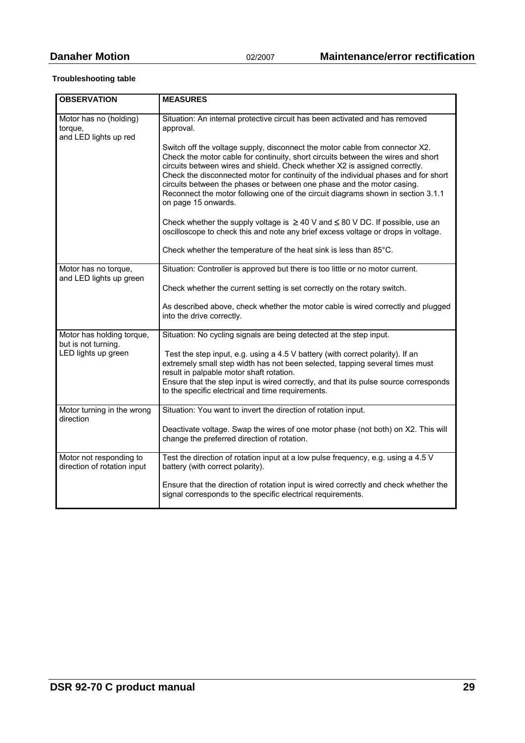#### **Troubleshooting table**

| <b>OBSERVATION</b>                                         | <b>MEASURES</b>                                                                                                                                                                                                                                                                                                                                                                                                                                                                                                           |  |
|------------------------------------------------------------|---------------------------------------------------------------------------------------------------------------------------------------------------------------------------------------------------------------------------------------------------------------------------------------------------------------------------------------------------------------------------------------------------------------------------------------------------------------------------------------------------------------------------|--|
| Motor has no (holding)<br>torque,<br>and LED lights up red | Situation: An internal protective circuit has been activated and has removed<br>approval.                                                                                                                                                                                                                                                                                                                                                                                                                                 |  |
|                                                            | Switch off the voltage supply, disconnect the motor cable from connector X2.<br>Check the motor cable for continuity, short circuits between the wires and short<br>circuits between wires and shield. Check whether X2 is assigned correctly.<br>Check the disconnected motor for continuity of the individual phases and for short<br>circuits between the phases or between one phase and the motor casing.<br>Reconnect the motor following one of the circuit diagrams shown in section 3.1.1<br>on page 15 onwards. |  |
|                                                            | Check whether the supply voltage is $\geq$ 40 V and $\leq$ 80 V DC. If possible, use an<br>oscilloscope to check this and note any brief excess voltage or drops in voltage.                                                                                                                                                                                                                                                                                                                                              |  |
|                                                            | Check whether the temperature of the heat sink is less than 85°C.                                                                                                                                                                                                                                                                                                                                                                                                                                                         |  |
| Motor has no torque,<br>and LED lights up green            | Situation: Controller is approved but there is too little or no motor current.                                                                                                                                                                                                                                                                                                                                                                                                                                            |  |
|                                                            | Check whether the current setting is set correctly on the rotary switch.                                                                                                                                                                                                                                                                                                                                                                                                                                                  |  |
|                                                            | As described above, check whether the motor cable is wired correctly and plugged<br>into the drive correctly.                                                                                                                                                                                                                                                                                                                                                                                                             |  |
| Motor has holding torque,<br>but is not turning.           | Situation: No cycling signals are being detected at the step input.                                                                                                                                                                                                                                                                                                                                                                                                                                                       |  |
| LED lights up green                                        | Test the step input, e.g. using a 4.5 V battery (with correct polarity). If an<br>extremely small step width has not been selected, tapping several times must<br>result in palpable motor shaft rotation.                                                                                                                                                                                                                                                                                                                |  |
|                                                            | Ensure that the step input is wired correctly, and that its pulse source corresponds<br>to the specific electrical and time requirements.                                                                                                                                                                                                                                                                                                                                                                                 |  |
| Motor turning in the wrong<br>direction                    | Situation: You want to invert the direction of rotation input.                                                                                                                                                                                                                                                                                                                                                                                                                                                            |  |
|                                                            | Deactivate voltage. Swap the wires of one motor phase (not both) on X2. This will<br>change the preferred direction of rotation.                                                                                                                                                                                                                                                                                                                                                                                          |  |
| Motor not responding to<br>direction of rotation input     | Test the direction of rotation input at a low pulse frequency, e.g. using a 4.5 V<br>battery (with correct polarity).                                                                                                                                                                                                                                                                                                                                                                                                     |  |
|                                                            | Ensure that the direction of rotation input is wired correctly and check whether the<br>signal corresponds to the specific electrical requirements.                                                                                                                                                                                                                                                                                                                                                                       |  |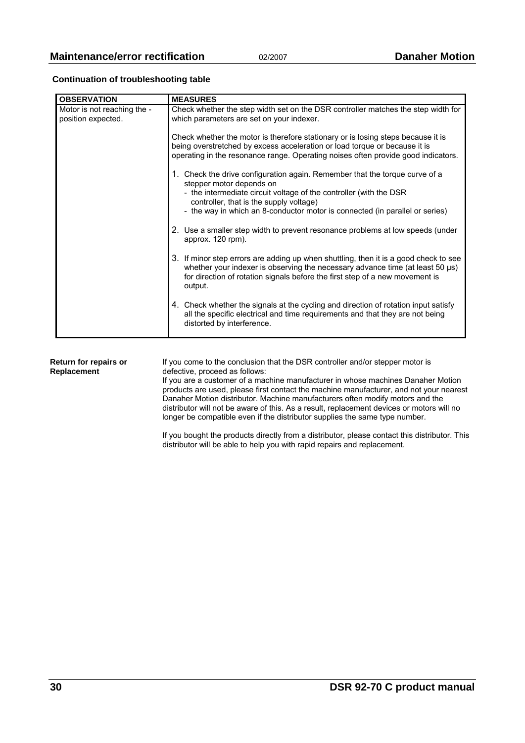#### **Continuation of troubleshooting table**

| <b>OBSERVATION</b>                                | <b>MEASURES</b>                                                                                                                                                                                                                                                       |
|---------------------------------------------------|-----------------------------------------------------------------------------------------------------------------------------------------------------------------------------------------------------------------------------------------------------------------------|
| Motor is not reaching the -<br>position expected. | Check whether the step width set on the DSR controller matches the step width for<br>which parameters are set on your indexer.                                                                                                                                        |
|                                                   | Check whether the motor is therefore stationary or is losing steps because it is<br>being overstretched by excess acceleration or load torque or because it is<br>operating in the resonance range. Operating noises often provide good indicators.                   |
|                                                   | 1. Check the drive configuration again. Remember that the torque curve of a<br>stepper motor depends on                                                                                                                                                               |
|                                                   | - the intermediate circuit voltage of the controller (with the DSR<br>controller, that is the supply voltage)                                                                                                                                                         |
|                                                   | - the way in which an 8-conductor motor is connected (in parallel or series)                                                                                                                                                                                          |
|                                                   | 2. Use a smaller step width to prevent resonance problems at low speeds (under<br>approx. 120 rpm).                                                                                                                                                                   |
|                                                   | 3. If minor step errors are adding up when shuttling, then it is a good check to see<br>whether your indexer is observing the necessary advance time (at least 50 $\mu$ s)<br>for direction of rotation signals before the first step of a new movement is<br>output. |
|                                                   | 4. Check whether the signals at the cycling and direction of rotation input satisfy<br>all the specific electrical and time requirements and that they are not being<br>distorted by interference.                                                                    |
|                                                   |                                                                                                                                                                                                                                                                       |

| <b>Return for repairs or</b> | If you come to the conclusion that the DSR controller and/or stepper motor is             |
|------------------------------|-------------------------------------------------------------------------------------------|
| Replacement                  | defective, proceed as follows:                                                            |
|                              | If you are a customer of a machine manufacturer in whose machines Danaher Motion          |
|                              | products are used, please first contact the machine manufacturer, and not your nearest    |
|                              | Danaher Motion distributor. Machine manufacturers often modify motors and the             |
|                              | distributor will not be aware of this. As a result, replacement devices or motors will no |
|                              | longer be compatible even if the distributor supplies the same type number.               |

 If you bought the products directly from a distributor, please contact this distributor. This distributor will be able to help you with rapid repairs and replacement.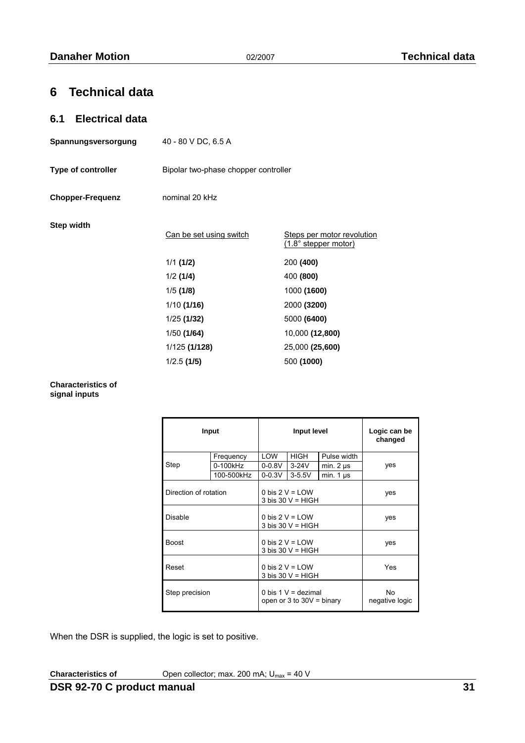# <span id="page-30-0"></span>**6 Technical data**

### **6.1 Electrical data**

| Spannungsversorgung       | 40 - 80 V DC, 6.5 A                  |                                                    |
|---------------------------|--------------------------------------|----------------------------------------------------|
| <b>Type of controller</b> | Bipolar two-phase chopper controller |                                                    |
| <b>Chopper-Frequenz</b>   | nominal 20 kHz                       |                                                    |
| Step width                | Can be set using switch              | Steps per motor revolution<br>(1.8° stepper motor) |
|                           | 1/1(1/2)                             | 200 (400)                                          |
|                           | 1/2(1/4)                             | 400 (800)                                          |
|                           | 1/5(1/8)                             | 1000 (1600)                                        |
|                           | 1/10(1/16)                           | 2000 (3200)                                        |
|                           | 1/25 (1/32)                          | 5000 (6400)                                        |
|                           | 1/50(1/64)                           | 10,000 (12,800)                                    |
|                           | 1/125 (1/128)                        | 25,000 (25,600)                                    |
|                           | 1/2.5(1/5)                           | 500 (1000)                                         |

#### **Characteristics of signal inputs**

| <b>Input</b>          |            | Input level                                                      |             |                      | Logic can be<br>changed |
|-----------------------|------------|------------------------------------------------------------------|-------------|----------------------|-------------------------|
|                       | Frequency  | <b>LOW</b>                                                       | <b>HIGH</b> | Pulse width          |                         |
| Step                  | 0-100kHz   | $0 - 0.8V$                                                       | $3-24V$     | min. $2 \mu s$       | yes                     |
|                       | 100-500kHz | $0 - 0.3V$                                                       | $3 - 5.5V$  | min. $1 \mu s$       |                         |
| Direction of rotation |            | 0 bis $2 V = LOW$<br>3 bis 30 $V = HIGH$                         |             | yes                  |                         |
| <b>Disable</b>        |            | 0 bis $2 V = LOW$<br>3 bis 30 $V = HIGH$                         |             | yes                  |                         |
| Boost                 |            | 0 bis $2 V = LOW$<br>$3 \text{ bis } 30 \text{ V} = \text{HIGH}$ |             | yes                  |                         |
| Reset                 |            | 0 bis $2 V = LOW$<br>$3 \text{ bis } 30 \text{ V} = \text{HIGH}$ |             | Yes                  |                         |
| Step precision        |            | 0 bis $1 V =$ dezimal<br>open or 3 to $30V = binary$             |             | N٥<br>negative logic |                         |

When the DSR is supplied, the logic is set to positive.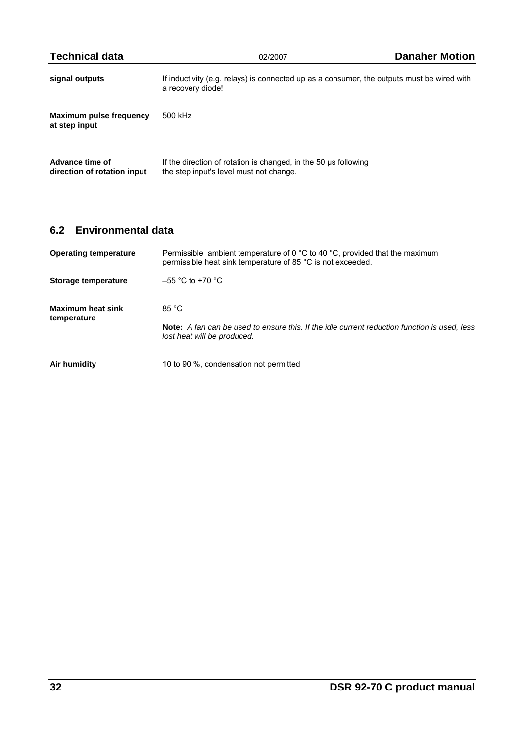<span id="page-31-0"></span>

| <b>Technical data</b>                           | 02/2007                                                                                                         | <b>Danaher Motion</b> |
|-------------------------------------------------|-----------------------------------------------------------------------------------------------------------------|-----------------------|
| signal outputs                                  | If inductivity (e.g. relays) is connected up as a consumer, the outputs must be wired with<br>a recovery diode! |                       |
| <b>Maximum pulse frequency</b><br>at step input | 500 kHz                                                                                                         |                       |
| Advance time of<br>direction of rotation input  | If the direction of rotation is changed, in the 50 us following<br>the step input's level must not change.      |                       |

# **6.2 Environmental data**

| <b>Operating temperature</b>            | Permissible ambient temperature of 0 $\degree$ C to 40 $\degree$ C, provided that the maximum<br>permissible heat sink temperature of 85 °C is not exceeded. |
|-----------------------------------------|--------------------------------------------------------------------------------------------------------------------------------------------------------------|
| Storage temperature                     | $-55$ °C to +70 °C                                                                                                                                           |
| <b>Maximum heat sink</b><br>temperature | 85 °C<br><b>Note:</b> A fan can be used to ensure this. If the idle current reduction function is used, less<br>lost heat will be produced.                  |
| Air humidity                            | 10 to 90 %, condensation not permitted                                                                                                                       |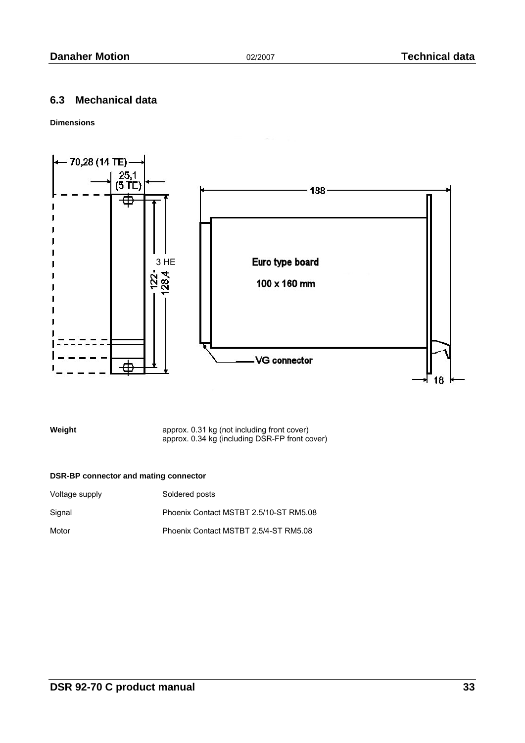#### <span id="page-32-0"></span>**6.3 Mechanical data**

**Dimensions**



**Weight** approx. 0.31 kg (not including front cover) approx. 0.34 kg (including DSR-FP front cover)

#### **DSR-BP connector and mating connector**

| Voltage supply | Soldered posts                         |
|----------------|----------------------------------------|
| Signal         | Phoenix Contact MSTBT 2.5/10-ST RM5.08 |
| Motor          | Phoenix Contact MSTBT 2.5/4-ST RM5.08  |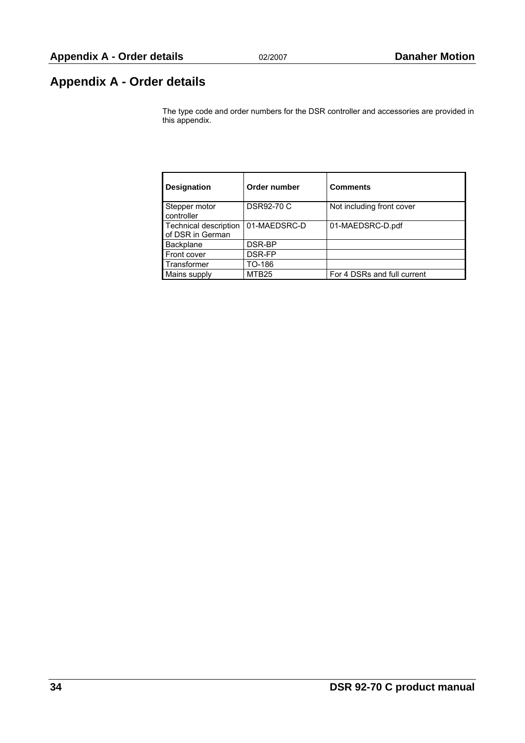# **Appendix A - Order details**

The type code and order numbers for the DSR controller and accessories are provided in this appendix.

<span id="page-33-0"></span>

| <b>Designation</b>                               | Order number      | <b>Comments</b>             |
|--------------------------------------------------|-------------------|-----------------------------|
| Stepper motor<br>controller                      | <b>DSR92-70 C</b> | Not including front cover   |
| <b>Technical description</b><br>of DSR in German | 01-MAEDSRC-D      | 01-MAEDSRC-D.pdf            |
| Backplane                                        | DSR-BP            |                             |
| Front cover                                      | DSR-FP            |                             |
| Transformer                                      | TO-186            |                             |
| Mains supply                                     | MTB25             | For 4 DSRs and full current |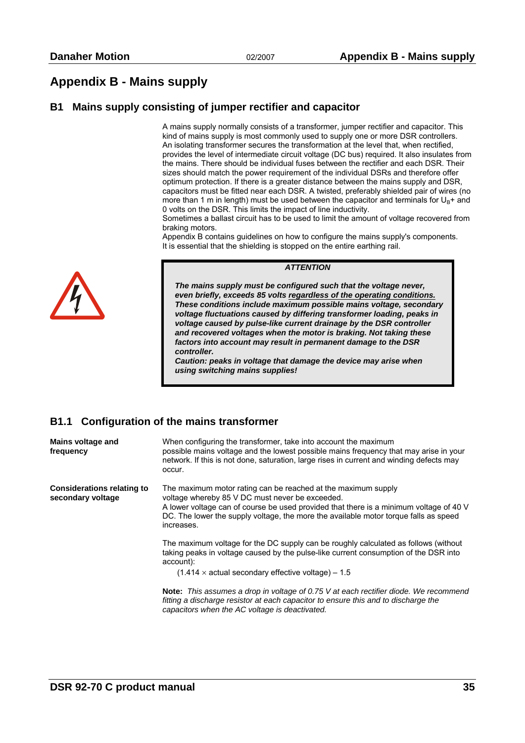# **Appendix B - Mains supply**

#### **B1 Mains supply consisting of jumper rectifier and capacitor**

A mains supply normally consists of a transformer, jumper rectifier and capacitor. This kind of mains supply is most commonly used to supply one or more DSR controllers. An isolating transformer secures the transformation at the level that, when rectified, provides the level of intermediate circuit voltage (DC bus) required. It also insulates from the mains. There should be individual fuses between the rectifier and each DSR. Their sizes should match the power requirement of the individual DSRs and therefore offer optimum protection. If there is a greater distance between the mains supply and DSR, capacitors must be fitted near each DSR. A twisted, preferably shielded pair of wires (no more than 1 m in length) must be used between the capacitor and terminals for  $U_B$ + and 0 volts on the DSR. This limits the impact of line inductivity.

Sometimes a ballast circuit has to be used to limit the amount of voltage recovered from braking motors.

Appendix B contains guidelines on how to configure the mains supply's components. It is essential that the shielding is stopped on the entire earthing rail.

<span id="page-34-0"></span>

#### *ATTENTION*

*The mains supply must be configured such that the voltage never, even briefly, exceeds 85 volts regardless of the operating conditions. These conditions include maximum possible mains voltage, secondary voltage fluctuations caused by differing transformer loading, peaks in voltage caused by pulse-like current drainage by the DSR controller and recovered voltages when the motor is braking. Not taking these factors into account may result in permanent damage to the DSR controller.* 

*Caution: peaks in voltage that damage the device may arise when using switching mains supplies!* 

### **B1.1 Configuration of the mains transformer**

| Mains voltage and<br>frequency                         | When configuring the transformer, take into account the maximum<br>possible mains voltage and the lowest possible mains frequency that may arise in your<br>network. If this is not done, saturation, large rises in current and winding defects may<br>occur.                                                   |
|--------------------------------------------------------|------------------------------------------------------------------------------------------------------------------------------------------------------------------------------------------------------------------------------------------------------------------------------------------------------------------|
| <b>Considerations relating to</b><br>secondary voltage | The maximum motor rating can be reached at the maximum supply<br>voltage whereby 85 V DC must never be exceeded.<br>A lower voltage can of course be used provided that there is a minimum voltage of 40 V<br>DC. The lower the supply voltage, the more the available motor torque falls as speed<br>increases. |
|                                                        | The maximum voltage for the DC supply can be roughly calculated as follows (without<br>taking peaks in voltage caused by the pulse-like current consumption of the DSR into<br>account):<br>$(1.414 \times actual$ secondary effective voltage) – 1.5                                                            |
|                                                        | <b>Note:</b> This assumes a drop in voltage of 0.75 V at each rectifier diode. We recommend<br>fitting a discharge resistor at each capacitor to ensure this and to discharge the                                                                                                                                |

*capacitors when the AC voltage is deactivated.*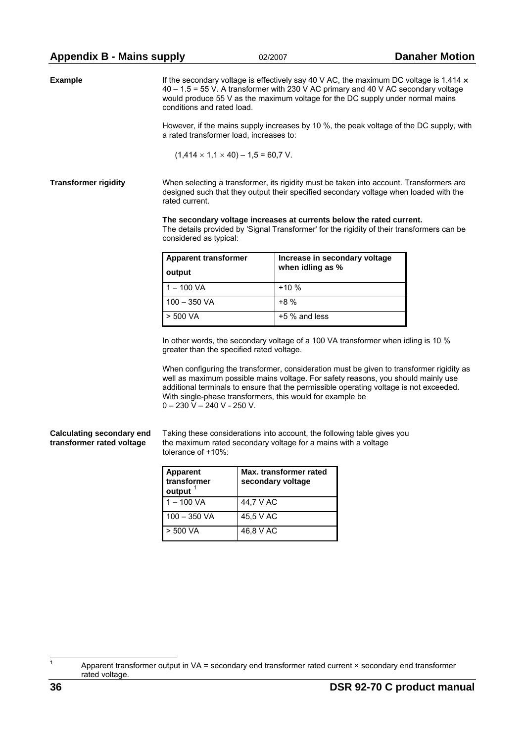**Example** If the secondary voltage is effectively say 40 V AC, the maximum DC voltage is 1.414 x 40 – 1.5 = 55 V. A transformer with 230 V AC primary and 40 V AC secondary voltage would produce 55 V as the maximum voltage for the DC supply under normal mains conditions and rated load.

> However, if the mains supply increases by 10 %, the peak voltage of the DC supply, with a rated transformer load, increases to:

 $(1,414 \times 1, 1 \times 40) - 1,5 = 60,7$  V.

**Transformer rigidity** When selecting a transformer, its rigidity must be taken into account. Transformers are designed such that they output their specified secondary voltage when loaded with the rated current.

> **The secondary voltage increases at currents below the rated current.**  The details provided by 'Signal Transformer' for the rigidity of their transformers can be considered as typical:

| <b>Apparent transformer</b><br>output | Increase in secondary voltage<br>when idling as % |
|---------------------------------------|---------------------------------------------------|
| $1 - 100 VA$                          | $+10%$                                            |
| $100 - 350$ VA                        | $+8\%$                                            |
| > 500 VA                              | +5 % and less                                     |

In other words, the secondary voltage of a 100 VA transformer when idling is 10 % greater than the specified rated voltage.

When configuring the transformer, consideration must be given to transformer rigidity as well as maximum possible mains voltage. For safety reasons, you should mainly use additional terminals to ensure that the permissible operating voltage is not exceeded. With single-phase transformers, this would for example be  $0 - 230$  V  $- 240$  V - 250 V.

**Calculating secondary end** Taking these considerations into account, the following table gives you **transformer rated voltage** the maximum rated secondary voltage for a mains with a voltage tolerance of +10%:

| <b>Apparent</b><br>transformer<br>output | Max. transformer rated<br>secondary voltage |
|------------------------------------------|---------------------------------------------|
| $1 - 100$ VA                             | 44,7 V AC                                   |
| $100 - 350$ VA                           | 45,5 V AC                                   |
| $> 500 \text{ VA}$                       | 46,8 V AC                                   |

<span id="page-35-0"></span><sup>|&</sup>lt;br>1 Apparent transformer output in VA = secondary end transformer rated current × secondary end transformer rated voltage.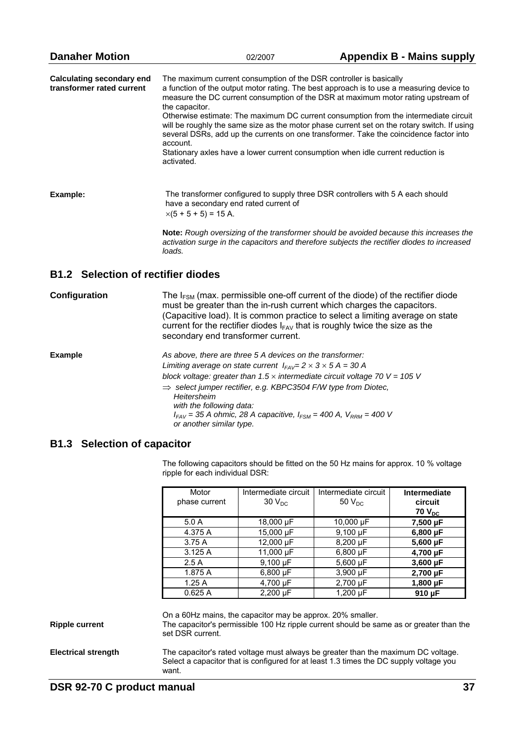| <b>Danaher Motion</b>                                         | 02/2007                                                                                                                                                                                                                                                                                                                                                                                                                                                                                                                                                                                                                                                              | <b>Appendix B - Mains supply</b> |
|---------------------------------------------------------------|----------------------------------------------------------------------------------------------------------------------------------------------------------------------------------------------------------------------------------------------------------------------------------------------------------------------------------------------------------------------------------------------------------------------------------------------------------------------------------------------------------------------------------------------------------------------------------------------------------------------------------------------------------------------|----------------------------------|
| <b>Calculating secondary end</b><br>transformer rated current | The maximum current consumption of the DSR controller is basically<br>a function of the output motor rating. The best approach is to use a measuring device to<br>measure the DC current consumption of the DSR at maximum motor rating upstream of<br>the capacitor.<br>Otherwise estimate: The maximum DC current consumption from the intermediate circuit<br>will be roughly the same size as the motor phase current set on the rotary switch. If using<br>several DSRs, add up the currents on one transformer. Take the coincidence factor into<br>account.<br>Stationary axles have a lower current consumption when idle current reduction is<br>activated. |                                  |
| Example:                                                      | The transformer configured to supply three DSR controllers with 5 A each should<br>have a secondary end rated current of<br>$\times (5 + 5 + 5) = 15$ A.                                                                                                                                                                                                                                                                                                                                                                                                                                                                                                             |                                  |
|                                                               | Note: Rough oversizing of the transformer should be avoided because this increases the<br>activation surge in the capacitors and therefore subjects the rectifier diodes to increased<br>loads.                                                                                                                                                                                                                                                                                                                                                                                                                                                                      |                                  |
| <b>B1.2 Selection of rectifier diodes</b>                     |                                                                                                                                                                                                                                                                                                                                                                                                                                                                                                                                                                                                                                                                      |                                  |
| Configuration                                                 | The $I_{FSM}$ (max. permissible one-off current of the diode) of the rectifier diode<br>must be greater than the in-rush current which charges the capacitors.<br>(Capacitive load). It is common practice to select a limiting average on state<br>current for the rectifier diodes $I_{FAV}$ that is roughly twice the size as the<br>secondary end transformer current.                                                                                                                                                                                                                                                                                           |                                  |
| <b>Example</b>                                                | As above, there are three 5 A devices on the transformer:<br>Limiting average on state current $I_{FAV} = 2 \times 3 \times 5$ A = 30 A<br>block voltage: greater than $1.5 \times$ intermediate circuit voltage 70 V = 105 V<br>$\Rightarrow$ select jumper rectifier, e.g. KBPC3504 F/W type from Diotec,<br>Heitersheim<br>with the following data:<br>$I_{FAV}$ = 35 A ohmic, 28 A capacitive, $I_{FSM}$ = 400 A, $V_{RRM}$ = 400 V<br>or another similar type.                                                                                                                                                                                                  |                                  |

### **B1.3 Selection of capacitor**

The following capacitors should be fitted on the 50 Hz mains for approx. 10 % voltage ripple for each individual DSR:

| Motor<br>phase current | Intermediate circuit<br>$30V_{DC}$ | Intermediate circuit<br>$50 V_{DC}$ | Intermediate<br>circuit<br>$70V_{DC}$ |
|------------------------|------------------------------------|-------------------------------------|---------------------------------------|
| 5.0A                   | 18,000 µF                          | 10,000 µF                           | 7,500 µF                              |
| 4.375 A                | 15,000 µF                          | $9,100 \,\mu F$                     | 6,800 µF                              |
| 3.75 A                 | 12,000 µF                          | 8,200 µF                            | 5,600 $\mu$ F                         |
| 3.125A                 | 11,000 µF                          | $6,800 \,\mu F$                     | 4,700 µF                              |
| 2.5A                   | $9,100 \,\mu F$                    | $5,600 \,\mu F$                     | $3,600 \mu F$                         |
| 1.875 A                | $6,800 \,\mu F$                    | 3,900 µF                            | $2,700 \,\mu F$                       |
| 1.25A                  | 4,700 µF                           | 2,700 µF                            | 1,800 µF                              |
| 0.625A                 | $2,200 \,\mu F$                    | 1,200 $\mu$ F                       | $910 \mu F$                           |

**Con a 60Hz mains, the capacitor may be approx. 20% smaller.<br>
<b>Ripple current** The capacitor's permissible 100 Hz ripple current should be sa **Ripple current** The capacitor's permissible 100 Hz ripple current should be same as or greater than the set DSR current.

**Electrical strength** The capacitor's rated voltage must always be greater than the maximum DC voltage. Select a capacitor that is configured for at least 1.3 times the DC supply voltage you want.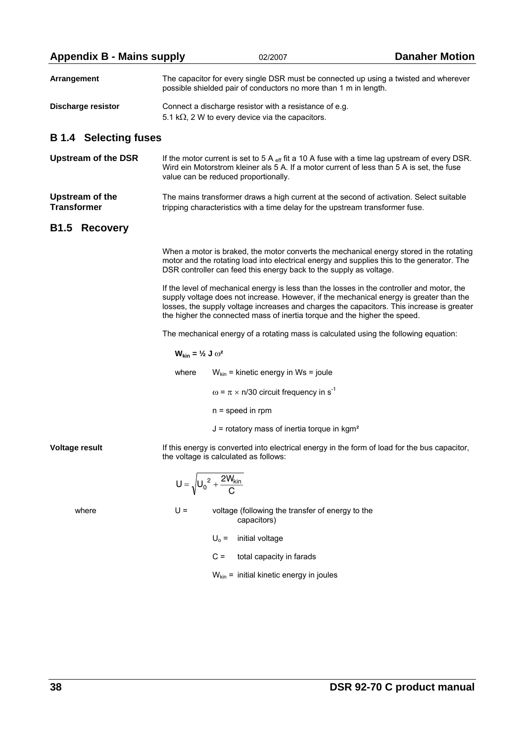| <b>Appendix B - Mains supply</b>             |                                      | 02/2007                                                                                                                                                                                                                                                                                                                                                         | <b>Danaher Motion</b> |
|----------------------------------------------|--------------------------------------|-----------------------------------------------------------------------------------------------------------------------------------------------------------------------------------------------------------------------------------------------------------------------------------------------------------------------------------------------------------------|-----------------------|
| Arrangement                                  |                                      | The capacitor for every single DSR must be connected up using a twisted and wherever<br>possible shielded pair of conductors no more than 1 m in length.                                                                                                                                                                                                        |                       |
| <b>Discharge resistor</b>                    |                                      | Connect a discharge resistor with a resistance of e.g.<br>5.1 k $\Omega$ , 2 W to every device via the capacitors.                                                                                                                                                                                                                                              |                       |
| <b>B</b> 1.4 Selecting fuses                 |                                      |                                                                                                                                                                                                                                                                                                                                                                 |                       |
| <b>Upstream of the DSR</b>                   |                                      | If the motor current is set to 5 A $_{\text{eff}}$ fit a 10 A fuse with a time lag upstream of every DSR.<br>Wird ein Motorstrom kleiner als 5 A. If a motor current of less than 5 A is set, the fuse<br>value can be reduced proportionally.                                                                                                                  |                       |
| <b>Upstream of the</b><br><b>Transformer</b> |                                      | The mains transformer draws a high current at the second of activation. Select suitable<br>tripping characteristics with a time delay for the upstream transformer fuse.                                                                                                                                                                                        |                       |
| <b>B1.5</b><br><b>Recovery</b>               |                                      |                                                                                                                                                                                                                                                                                                                                                                 |                       |
|                                              |                                      | When a motor is braked, the motor converts the mechanical energy stored in the rotating<br>motor and the rotating load into electrical energy and supplies this to the generator. The<br>DSR controller can feed this energy back to the supply as voltage.                                                                                                     |                       |
|                                              |                                      | If the level of mechanical energy is less than the losses in the controller and motor, the<br>supply voltage does not increase. However, if the mechanical energy is greater than the<br>losses, the supply voltage increases and charges the capacitors. This increase is greater<br>the higher the connected mass of inertia torque and the higher the speed. |                       |
|                                              |                                      | The mechanical energy of a rotating mass is calculated using the following equation:                                                                                                                                                                                                                                                                            |                       |
|                                              | $W_{kin} = \frac{1}{2}$ J $\omega^2$ |                                                                                                                                                                                                                                                                                                                                                                 |                       |
|                                              | where                                | $W_{kin}$ = kinetic energy in Ws = joule                                                                                                                                                                                                                                                                                                                        |                       |
|                                              |                                      | $\omega = \pi \times n/30$ circuit frequency in s <sup>-1</sup>                                                                                                                                                                                                                                                                                                 |                       |
|                                              |                                      | $n = speed in rpm$                                                                                                                                                                                                                                                                                                                                              |                       |
|                                              |                                      | $J =$ rotatory mass of inertia torque in kgm <sup>2</sup>                                                                                                                                                                                                                                                                                                       |                       |
| Voltage result                               |                                      | If this energy is converted into electrical energy in the form of load for the bus capacitor,<br>the voltage is calculated as follows:                                                                                                                                                                                                                          |                       |
|                                              |                                      | $U = \sqrt{U_0^2 + \frac{2W_{kin}}{C}}$                                                                                                                                                                                                                                                                                                                         |                       |
| where                                        | $U =$                                | voltage (following the transfer of energy to the<br>capacitors)                                                                                                                                                                                                                                                                                                 |                       |
|                                              |                                      | initial voltage<br>$U_0 =$                                                                                                                                                                                                                                                                                                                                      |                       |
|                                              |                                      | $C =$<br>total capacity in farads                                                                                                                                                                                                                                                                                                                               |                       |
|                                              |                                      | $W_{kin}$ = initial kinetic energy in joules                                                                                                                                                                                                                                                                                                                    |                       |
|                                              |                                      |                                                                                                                                                                                                                                                                                                                                                                 |                       |
|                                              |                                      |                                                                                                                                                                                                                                                                                                                                                                 |                       |
|                                              |                                      |                                                                                                                                                                                                                                                                                                                                                                 |                       |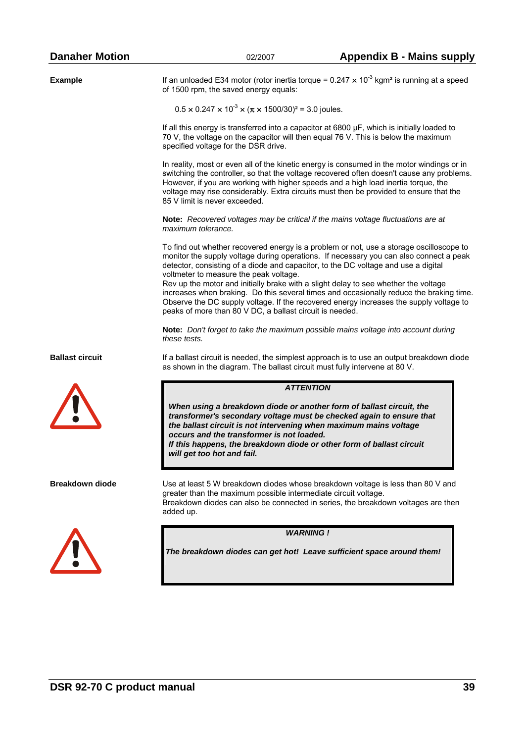| <b>Danaher Motion</b>  | 02/2007                                                                                                                                                                                                                                                                                                                                                                                                  | <b>Appendix B - Mains supply</b> |
|------------------------|----------------------------------------------------------------------------------------------------------------------------------------------------------------------------------------------------------------------------------------------------------------------------------------------------------------------------------------------------------------------------------------------------------|----------------------------------|
| <b>Example</b>         | If an unloaded E34 motor (rotor inertia torque = $0.247 \times 10^{-3}$ kgm <sup>2</sup> is running at a speed<br>of 1500 rpm, the saved energy equals:                                                                                                                                                                                                                                                  |                                  |
|                        | $0.5 \times 0.247 \times 10^{-3} \times (\pi \times 1500/30)^2 = 3.0$ joules.                                                                                                                                                                                                                                                                                                                            |                                  |
|                        | If all this energy is transferred into a capacitor at $6800 \mu F$ , which is initially loaded to<br>70 V, the voltage on the capacitor will then equal 76 V. This is below the maximum<br>specified voltage for the DSR drive.                                                                                                                                                                          |                                  |
|                        | In reality, most or even all of the kinetic energy is consumed in the motor windings or in<br>switching the controller, so that the voltage recovered often doesn't cause any problems.<br>However, if you are working with higher speeds and a high load inertia torque, the<br>voltage may rise considerably. Extra circuits must then be provided to ensure that the<br>85 V limit is never exceeded. |                                  |
|                        | <b>Note:</b> Recovered voltages may be critical if the mains voltage fluctuations are at<br>maximum tolerance.                                                                                                                                                                                                                                                                                           |                                  |
|                        | To find out whether recovered energy is a problem or not, use a storage oscilloscope to<br>monitor the supply voltage during operations. If necessary you can also connect a peak<br>detector, consisting of a diode and capacitor, to the DC voltage and use a digital<br>voltmeter to measure the peak voltage.                                                                                        |                                  |
|                        | Rev up the motor and initially brake with a slight delay to see whether the voltage<br>increases when braking. Do this several times and occasionally reduce the braking time.<br>Observe the DC supply voltage. If the recovered energy increases the supply voltage to<br>peaks of more than 80 V DC, a ballast circuit is needed.                                                                     |                                  |
|                        | Note: Don't forget to take the maximum possible mains voltage into account during<br>these tests.                                                                                                                                                                                                                                                                                                        |                                  |
| <b>Ballast circuit</b> | If a ballast circuit is needed, the simplest approach is to use an output breakdown diode<br>as shown in the diagram. The ballast circuit must fully intervene at 80 V.                                                                                                                                                                                                                                  |                                  |
|                        | <b>ATTENTION</b><br>When using a breakdown diode or another form of ballast circuit, the<br>transformer's secondary voltage must be checked again to ensure that<br>the ballast circuit is not intervening when maximum mains voltage<br>occurs and the transformer is not loaded.<br>If this happens, the breakdown diode or other form of ballast circuit<br>will get too hot and fail.                |                                  |
| <b>Breakdown diode</b> | Use at least 5 W breakdown diodes whose breakdown voltage is less than 80 V and<br>greater than the maximum possible intermediate circuit voltage.<br>Breakdown diodes can also be connected in series, the breakdown voltages are then<br>added up.                                                                                                                                                     |                                  |
|                        | <b>WARNING!</b>                                                                                                                                                                                                                                                                                                                                                                                          |                                  |
|                        | The breakdown diodes can get hot! Leave sufficient space around them!                                                                                                                                                                                                                                                                                                                                    |                                  |
|                        |                                                                                                                                                                                                                                                                                                                                                                                                          |                                  |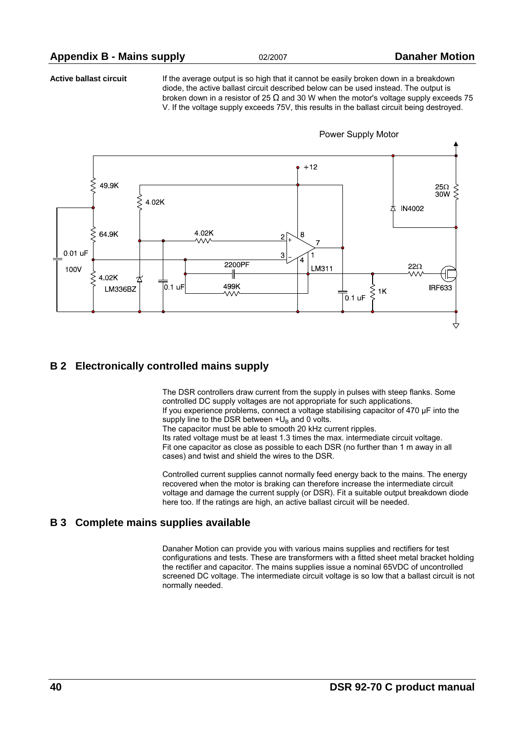**Active ballast circuit** If the average output is so high that it cannot be easily broken down in a breakdown diode, the active ballast circuit described below can be used instead. The output is broken down in a resistor of 25  $\Omega$  and 30 W when the motor's voltage supply exceeds 75 V. If the voltage supply exceeds 75V, this results in the ballast circuit being destroyed.



#### **B 2 Electronically controlled mains supply**

The DSR controllers draw current from the supply in pulses with steep flanks. Some controlled DC supply voltages are not appropriate for such applications. If you experience problems, connect a voltage stabilising capacitor of 470  $\mu$ F into the supply line to the DSR between  $+U_B$  and 0 volts.

The capacitor must be able to smooth 20 kHz current ripples.

Its rated voltage must be at least 1.3 times the max. intermediate circuit voltage. Fit one capacitor as close as possible to each DSR (no further than 1 m away in all cases) and twist and shield the wires to the DSR.

Controlled current supplies cannot normally feed energy back to the mains. The energy recovered when the motor is braking can therefore increase the intermediate circuit voltage and damage the current supply (or DSR). Fit a suitable output breakdown diode here too. If the ratings are high, an active ballast circuit will be needed.

#### **B 3 Complete mains supplies available**

Danaher Motion can provide you with various mains supplies and rectifiers for test configurations and tests. These are transformers with a fitted sheet metal bracket holding the rectifier and capacitor. The mains supplies issue a nominal 65VDC of uncontrolled screened DC voltage. The intermediate circuit voltage is so low that a ballast circuit is not normally needed.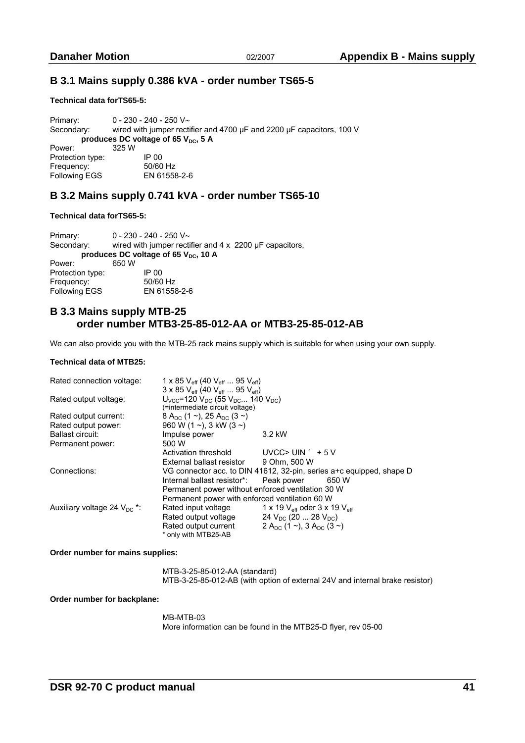#### **B 3.1 Mains supply 0.386 kVA - order number TS65-5**

#### **Technical data forTS65-5:**

Primary: 0 - 230 - 240 - 250 V∼<br>Secondary: wired with jumper recti wired with jumper rectifier and 4700 µF and 2200 µF capacitors, 100 V produces DC voltage of 65 V<sub>DC</sub>, 5 A Power: 325 W Protection type: IP 00

| Protection type: | IP 00        |
|------------------|--------------|
| Frequency:       | 50/60 Hz     |
| Following EGS    | EN 61558-2-6 |

#### **B 3.2 Mains supply 0.741 kVA - order number TS65-10**

#### **Technical data forTS65-5:**

Primary: 0 - 230 - 240 - 250 V∼ Secondary: wired with jumper rectifier and 4 x 2200 µF capacitors, produces DC voltage of 65 V<sub>DC</sub>, 10 A Power: 650 W Protection type: IP 00 Frequency: 50/60 Hz<br>Following EGS EN 61558-2-6 Following EGS

#### **B 3.3 Mains supply MTB-25 order number MTB3-25-85-012-AA or MTB3-25-85-012-AB**

We can also provide you with the MTB-25 rack mains supply which is suitable for when using your own supply.

#### **Technical data of MTB25:**

| Rated connection voltage:        | 1 x 85 $V_{\rm eff}$ (40 $V_{\rm eff}$ 95 $V_{\rm eff}$ )                       |                                                                      |
|----------------------------------|---------------------------------------------------------------------------------|----------------------------------------------------------------------|
|                                  | $3 \times 85$ V <sub>eff</sub> (40 V <sub>eff</sub> 95 V <sub>eff</sub> )       |                                                                      |
| Rated output voltage:            | $U_{\text{VCC}}$ =120 $V_{\text{DC}}$ (55 $V_{\text{DC}}$ 140 $V_{\text{DC}}$ ) |                                                                      |
|                                  | (=intermediate circuit voltage)                                                 |                                                                      |
| Rated output current:            | 8 A <sub>DC</sub> $(1 \sim)$ , 25 A <sub>DC</sub> $(3 \sim)$                    |                                                                      |
| Rated output power:              | 960 W (1 ~), 3 kW (3 ~)                                                         |                                                                      |
| Ballast circuit:                 | Impulse power                                                                   | 3.2 kW                                                               |
| Permanent power:                 | 500 W                                                                           |                                                                      |
|                                  | Activation threshold                                                            | UVCC> UIN $+5V$                                                      |
|                                  | External ballast resistor                                                       | 9 Ohm. 500 W                                                         |
| Connections:                     |                                                                                 | VG connector acc. to DIN 41612, 32-pin, series a+c equipped, shape D |
|                                  | Internal ballast resistor*:                                                     | Peak power<br>650 W                                                  |
|                                  | Permanent power without enforced ventilation 30 W                               |                                                                      |
|                                  | Permanent power with enforced ventilation 60 W                                  |                                                                      |
| Auxiliary voltage 24 $V_{DC}$ *: | Rated input voltage                                                             | 1 x 19 $V_{\text{eff}}$ oder 3 x 19 $V_{\text{eff}}$                 |
|                                  | Rated output voltage                                                            | 24 $V_{DC}$ (20  28 $V_{DC}$ )                                       |
|                                  | Rated output current                                                            | 2 A <sub>nd</sub> (1 ~), 3 A <sub>nd</sub> (3 ~)                     |
|                                  | * only with MTB25-AB                                                            |                                                                      |

#### **Order number for mains supplies:**

 MTB-3-25-85-012-AA (standard) MTB-3-25-85-012-AB (with option of external 24V and internal brake resistor)

**Order number for backplane:**

 MB-MTB-03 More information can be found in the MTB25-D flyer, rev 05-00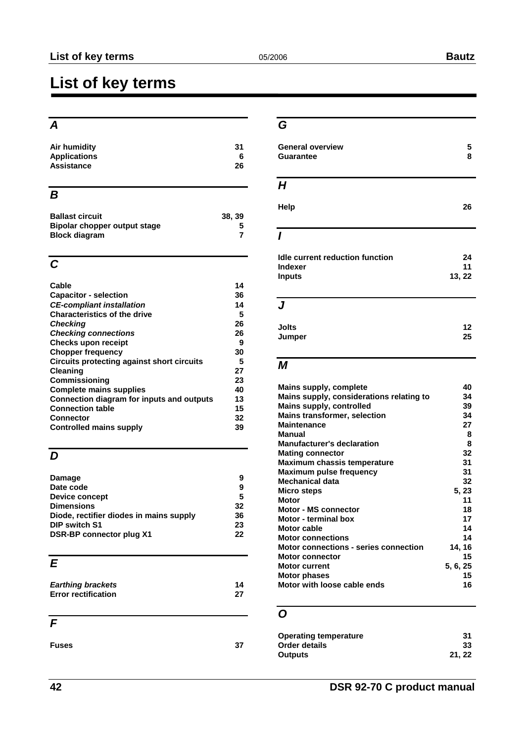# **List of key terms**

### *A G*

| Air humidity        | 31 |
|---------------------|----|
| <b>Applications</b> | 6  |
| <b>Assistance</b>   | 26 |
|                     |    |
|                     |    |

# *B*

| <b>Ballast circuit</b>              | 38.39 |  |
|-------------------------------------|-------|--|
| <b>Bipolar chopper output stage</b> |       |  |
| <b>Block diagram</b>                |       |  |
|                                     |       |  |

| Cable                                      | 14 |                                          |    |
|--------------------------------------------|----|------------------------------------------|----|
| <b>Capacitor - selection</b>               | 36 |                                          |    |
| <b>CE-compliant installation</b>           | 14 |                                          |    |
| <b>Characteristics of the drive</b>        | 5  |                                          |    |
| <b>Checking</b>                            | 26 | <b>Jolts</b>                             | 12 |
| <b>Checking connections</b>                | 26 |                                          | 25 |
| <b>Checks upon receipt</b>                 | 9  | Jumper                                   |    |
| <b>Chopper frequency</b>                   | 30 |                                          |    |
| Circuits protecting against short circuits | 5  | М                                        |    |
| <b>Cleaning</b>                            | 27 |                                          |    |
| <b>Commissioning</b>                       | 23 |                                          |    |
| <b>Complete mains supplies</b>             | 40 | Mains supply, complete                   | 40 |
| Connection diagram for inputs and outputs  | 13 | Mains supply, considerations relating to | 34 |
| <b>Connection table</b>                    | 15 | Mains supply, controlled                 | 39 |
| <b>Connector</b>                           | 32 | <b>Mains transformer, selection</b>      | 34 |
| <b>Controlled mains supply</b>             | 39 | <b>Maintenance</b>                       | 27 |
|                                            |    | $M_{\odot}$ nial                         | ۰  |

| Damage                                  | 9  |
|-----------------------------------------|----|
| Date code                               | 9  |
| <b>Device concept</b>                   | 5  |
| <b>Dimensions</b>                       | 32 |
| Diode, rectifier diodes in mains supply | 36 |
| <b>DIP switch S1</b>                    | 23 |
| <b>DSR-BP connector plug X1</b>         | 22 |

| <b>Earthing brackets</b>   | 14 |
|----------------------------|----|
| <b>Error rectification</b> | 27 |

# <span id="page-41-0"></span>*F*

**Fuses 37** 

| <b>General overview</b><br><b>Guarantee</b> | C |
|---------------------------------------------|---|
|                                             |   |

#### *H*

**Help 26** 

| $\sim$ |    | Idle current reduction function | 24    |
|--------|----|---------------------------------|-------|
| v      |    | <b>Indexer</b>                  |       |
|        |    | <b>Inputs</b>                   | 13.22 |
| Cable  | 14 |                                 |       |

| Jolts  | 12 |
|--------|----|
| Jumper | 25 |
|        |    |

| uunnussiunnu<br><b>Complete mains supplies</b><br>Connection diagram for inputs and outputs<br><b>Connection table</b> | Lυ<br>40<br>13<br>15    | Mains supply, complete<br>Mains supply, considerations relating to<br>Mains supply, controlled                  | 40<br>34<br>39           |
|------------------------------------------------------------------------------------------------------------------------|-------------------------|-----------------------------------------------------------------------------------------------------------------|--------------------------|
| Connector<br><b>Controlled mains supply</b>                                                                            | 32<br>39                | <b>Mains transformer, selection</b><br><b>Maintenance</b><br>Manual<br><b>Manufacturer's declaration</b>        | 34<br>27<br>8<br>8       |
| D                                                                                                                      |                         | <b>Mating connector</b><br>Maximum chassis temperature<br>Maximum pulse frequency                               | 32<br>31<br>31           |
| Damage<br>Date code<br><b>Device concept</b><br><b>Dimensions</b><br>Diode, rectifier diodes in mains supply           | 9<br>9<br>5<br>32<br>36 | <b>Mechanical data</b><br>Micro steps<br><b>Motor</b><br><b>Motor - MS connector</b>                            | 32<br>5, 23<br>11<br>18  |
| DIP switch S1<br>DSR-BP connector plug X1                                                                              | 23<br>22                | Motor - terminal box<br>Motor cable<br><b>Motor connections</b><br><b>Motor connections - series connection</b> | 17<br>14<br>14<br>14, 16 |
| E                                                                                                                      |                         | <b>Motor connector</b><br><b>Motor current</b><br>Motor phases                                                  | 15<br>5, 6, 25<br>15     |
| <b>Earthing brackets</b>                                                                                               | 14                      | Motor with loose cable ends                                                                                     | 16                       |

# *O*

| <b>Operating temperature</b> | 31    |
|------------------------------|-------|
| <b>Order details</b>         | 33    |
| <b>Outputs</b>               | 21.22 |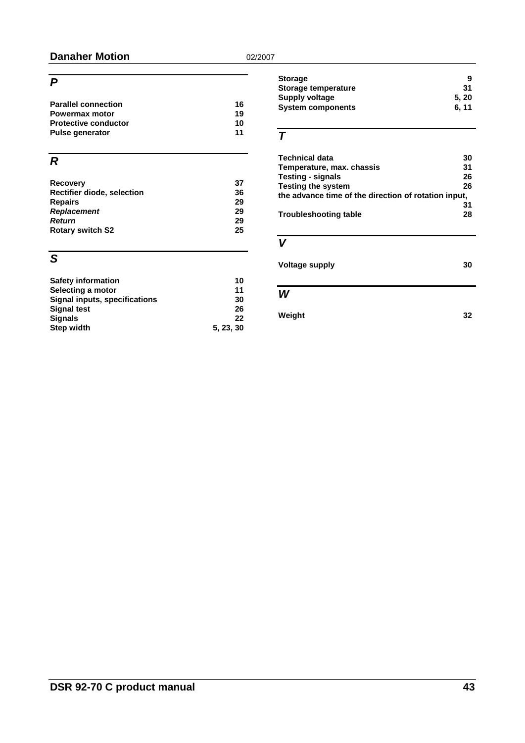# *P*

| <b>Parallel connection</b>  | 16  |
|-----------------------------|-----|
| Powermax motor              | 19. |
| <b>Protective conductor</b> | 10  |
| <b>Pulse generator</b>      | 11  |

# *R*

| <b>Recovery</b>                   | 37 |
|-----------------------------------|----|
| <b>Rectifier diode, selection</b> | 36 |
| <b>Repairs</b>                    | 29 |
| <b>Replacement</b>                | 29 |
| Return                            | 29 |
| <b>Rotary switch S2</b>           | 25 |

# *S*

| <b>Safety information</b>     | 10        |
|-------------------------------|-----------|
| Selecting a motor             | 11        |
| Signal inputs, specifications | 30        |
| <b>Signal test</b>            | 26        |
| <b>Signals</b>                | 22        |
| <b>Step width</b>             | 5, 23, 30 |

| <b>Storage</b>           | 9    |
|--------------------------|------|
| Storage temperature      | 31   |
| Supply voltage           | 5.20 |
| <b>System components</b> | 6.11 |

# *T*

| Technical data                                       | 30 |
|------------------------------------------------------|----|
| Temperature, max. chassis                            | 31 |
| <b>Testing - signals</b>                             | 26 |
| <b>Testing the system</b>                            | 26 |
| the advance time of the direction of rotation input, |    |
|                                                      | 31 |
| <b>Troubleshooting table</b>                         | 28 |

### *V*

| <b>Voltage supply</b> | 30 |
|-----------------------|----|
|                       |    |

# *W*

**Weight 32**